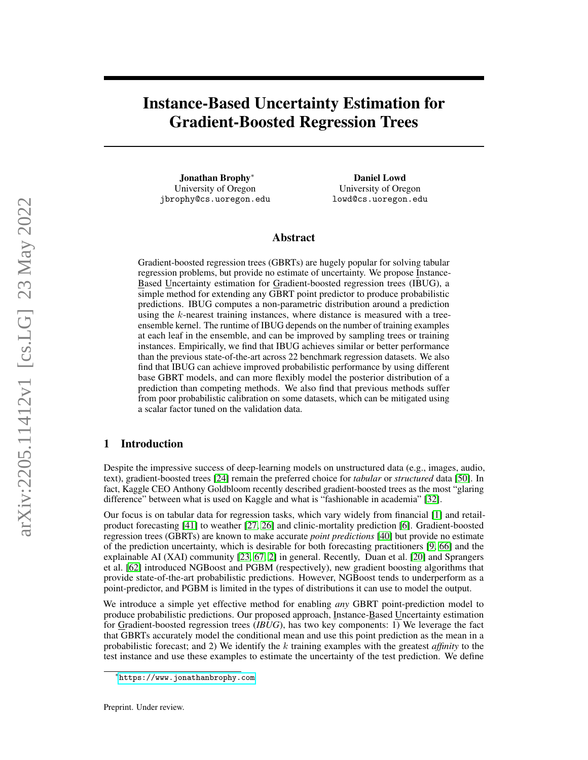# Instance-Based Uncertainty Estimation for Gradient-Boosted Regression Trees

Jonathan Brophy<sup>∗</sup> University of Oregon jbrophy@cs.uoregon.edu

Daniel Lowd University of Oregon lowd@cs.uoregon.edu

# Abstract

Gradient-boosted regression trees (GBRTs) are hugely popular for solving tabular regression problems, but provide no estimate of uncertainty. We propose Instance-Based Uncertainty estimation for Gradient-boosted regression trees (IBUG), a simple method for extending any GBRT point predictor to produce probabilistic predictions. IBUG computes a non-parametric distribution around a prediction using the k-nearest training instances, where distance is measured with a treeensemble kernel. The runtime of IBUG depends on the number of training examples at each leaf in the ensemble, and can be improved by sampling trees or training instances. Empirically, we find that IBUG achieves similar or better performance than the previous state-of-the-art across 22 benchmark regression datasets. We also find that IBUG can achieve improved probabilistic performance by using different base GBRT models, and can more flexibly model the posterior distribution of a prediction than competing methods. We also find that previous methods suffer from poor probabilistic calibration on some datasets, which can be mitigated using a scalar factor tuned on the validation data.

# 1 Introduction

Despite the impressive success of deep-learning models on unstructured data (e.g., images, audio, text), gradient-boosted trees [\[24\]](#page-10-0) remain the preferred choice for *tabular* or *structured* data [\[50\]](#page-11-0). In fact, Kaggle CEO Anthony Goldbloom recently described gradient-boosted trees as the most "glaring difference" between what is used on Kaggle and what is "fashionable in academia" [\[32\]](#page-10-1).

Our focus is on tabular data for regression tasks, which vary widely from financial [\[1\]](#page-8-0) and retailproduct forecasting [\[41\]](#page-11-1) to weather [\[27,](#page-10-2) [26\]](#page-10-3) and clinic-mortality prediction [\[6\]](#page-9-0). Gradient-boosted regression trees (GBRTs) are known to make accurate *point predictions* [\[40\]](#page-11-2) but provide no estimate of the prediction uncertainty, which is desirable for both forecasting practitioners [\[9,](#page-9-1) [66\]](#page-12-0) and the explainable AI (XAI) community [\[23,](#page-10-4) [67,](#page-12-1) [2\]](#page-8-1) in general. Recently, Duan et al. [\[20\]](#page-9-2) and Sprangers et al. [\[62\]](#page-12-2) introduced NGBoost and PGBM (respectively), new gradient boosting algorithms that provide state-of-the-art probabilistic predictions. However, NGBoost tends to underperform as a point-predictor, and PGBM is limited in the types of distributions it can use to model the output.

We introduce a simple yet effective method for enabling *any* GBRT point-prediction model to produce probabilistic predictions. Our proposed approach, Instance-Based Uncertainty estimation for Gradient-boosted regression trees (*IBUG*), has two key components: 1) We leverage the fact that GBRTs accurately model the conditional mean and use this point prediction as the mean in a probabilistic forecast; and 2) We identify the k training examples with the greatest *affinity* to the test instance and use these examples to estimate the uncertainty of the test prediction. We define

<sup>∗</sup> <https://www.jonathanbrophy.com>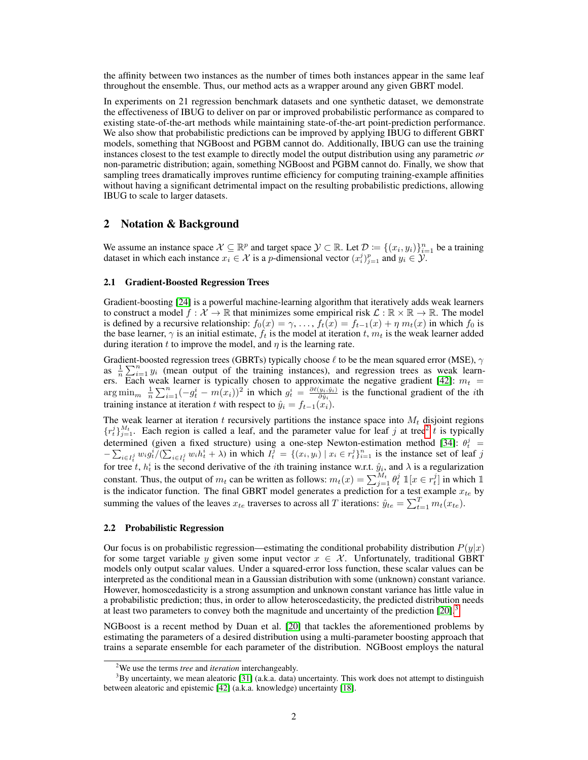the affinity between two instances as the number of times both instances appear in the same leaf throughout the ensemble. Thus, our method acts as a wrapper around any given GBRT model.

In experiments on 21 regression benchmark datasets and one synthetic dataset, we demonstrate the effectiveness of IBUG to deliver on par or improved probabilistic performance as compared to existing state-of-the-art methods while maintaining state-of-the-art point-prediction performance. We also show that probabilistic predictions can be improved by applying IBUG to different GBRT models, something that NGBoost and PGBM cannot do. Additionally, IBUG can use the training instances closest to the test example to directly model the output distribution using any parametric *or* non-parametric distribution; again, something NGBoost and PGBM cannot do. Finally, we show that sampling trees dramatically improves runtime efficiency for computing training-example affinities without having a significant detrimental impact on the resulting probabilistic predictions, allowing IBUG to scale to larger datasets.

# 2 Notation & Background

We assume an instance space  $X \subseteq \mathbb{R}^p$  and target space  $\mathcal{Y} \subset \mathbb{R}$ . Let  $\mathcal{D} := \{(x_i, y_i)\}_{i=1}^n$  be a training dataset in which each instance  $x_i \in \mathcal{X}$  is a *p*-dimensional vector  $(x_i^j)_{i=1}^p$  and  $y_i \in \mathcal{Y}$ .

#### 2.1 Gradient-Boosted Regression Trees

Gradient-boosting [\[24\]](#page-10-0) is a powerful machine-learning algorithm that iteratively adds weak learners to construct a model  $f : \mathcal{X} \to \mathbb{R}$  that minimizes some empirical risk  $\mathcal{L} : \mathbb{R} \times \mathbb{R} \to \mathbb{R}$ . The model is defined by a recursive relationship:  $f_0(x) = \gamma, \ldots, f_t(x) = f_{t-1}(x) + \eta \, m_t(x)$  in which  $f_0$  is the base learner,  $\gamma$  is an initial estimate,  $f_t$  is the model at iteration t,  $m_t$  is the weak learner added during iteration t to improve the model, and  $\eta$  is the learning rate.

Gradient-boosted regression trees (GBRTs) typically choose  $\ell$  to be the mean squared error (MSE),  $\gamma$ as  $\frac{1}{n}\sum_{i=1}^{n} y_i$  (mean output of the training instances), and regression trees as weak learn-ers. Each weak learner is typically chosen to approximate the negative gradient [\[42\]](#page-11-3):  $m_t$  =  $\arg \min_{m} \frac{1}{n} \sum_{i=1}^{n} (-g_t^i - m(x_i))^2$  in which  $g_t^i = \frac{\partial \ell(y_i, \hat{y}_i)}{\partial \hat{y}_i}$  is the functional gradient of the *i*th training instance at iteration t with respect to  $\hat{y}_i = f_{t-1}(x_i)$ .

The weak learner at iteration  $t$  recursively partitions the instance space into  $M_t$  disjoint regions  $\{r_t^j\}_{j=1}^{M_t}$ . Each region is called a leaf, and the parameter value for leaf j at tree<sup>[2](#page-1-0)</sup> t is typically determined (given a fixed structure) using a one-step Newton-estimation method [\[34\]](#page-10-5):  $\theta_t^j$  =  $-\sum_{i\in I_i^j} w_i g_i^i/(\sum_{i\in I_i^j} w_i h_i^i + \lambda)$  in which  $I_i^{\bar{j}} = \{(x_i, y_i) \mid x_i \in r_i^j\}_{i=1}^n$  is the instance set of leaf j for tree t,  $h_t^i$  is the second derivative of the *i*th training instance w.r.t.  $\hat{y}_i$ , and  $\lambda$  is a regularization constant. Thus, the output of  $m_t$  can be written as follows:  $m_t(x) = \sum_{j=1}^{M_t} \theta_t^j$   $\mathbb{1}[x \in r_t^j]$  in which  $\mathbb{1}[x]$ is the indicator function. The final GBRT model generates a prediction for a test example  $x_{te}$  by summing the values of the leaves  $x_{te}$  traverses to across all T iterations:  $\hat{y}_{te} = \sum_{t=1}^{T} m_t(x_{te})$ .

#### 2.2 Probabilistic Regression

Our focus is on probabilistic regression—estimating the conditional probability distribution  $P(y|x)$ for some target variable y given some input vector  $x \in \mathcal{X}$ . Unfortunately, traditional GBRT models only output scalar values. Under a squared-error loss function, these scalar values can be interpreted as the conditional mean in a Gaussian distribution with some (unknown) constant variance. However, homoscedasticity is a strong assumption and unknown constant variance has little value in a probabilistic prediction; thus, in order to allow heteroscedasticity, the predicted distribution needs at least two parameters to convey both the magnitude and uncertainty of the prediction  $[20]$ .<sup>[3](#page-1-1)</sup>

NGBoost is a recent method by Duan et al. [\[20\]](#page-9-2) that tackles the aforementioned problems by estimating the parameters of a desired distribution using a multi-parameter boosting approach that trains a separate ensemble for each parameter of the distribution. NGBoost employs the natural

<span id="page-1-1"></span><span id="page-1-0"></span><sup>2</sup>We use the terms *tree* and *iteration* interchangeably.

<sup>&</sup>lt;sup>3</sup>By uncertainty, we mean aleatoric [\[31\]](#page-10-6) (a.k.a. data) uncertainty. This work does not attempt to distinguish between aleatoric and epistemic [\[42\]](#page-11-3) (a.k.a. knowledge) uncertainty [\[18\]](#page-9-3).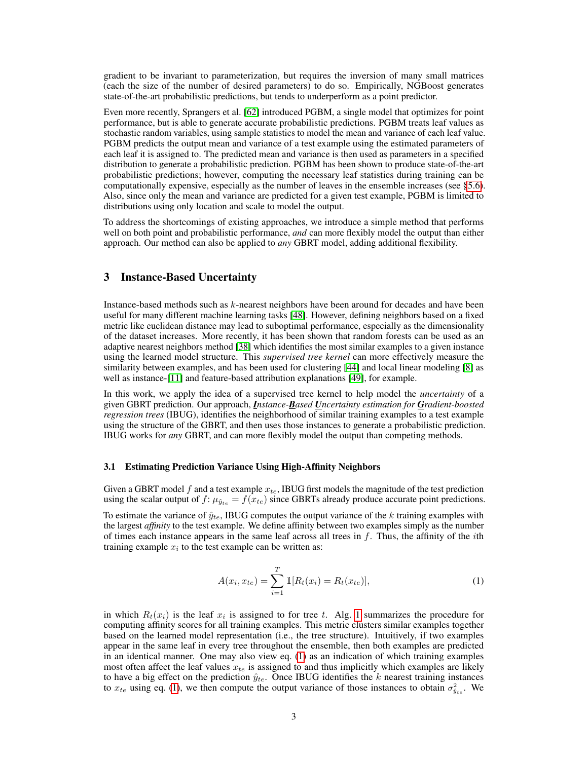gradient to be invariant to parameterization, but requires the inversion of many small matrices (each the size of the number of desired parameters) to do so. Empirically, NGBoost generates state-of-the-art probabilistic predictions, but tends to underperform as a point predictor.

Even more recently, Sprangers et al. [\[62\]](#page-12-2) introduced PGBM, a single model that optimizes for point performance, but is able to generate accurate probabilistic predictions. PGBM treats leaf values as stochastic random variables, using sample statistics to model the mean and variance of each leaf value. PGBM predicts the output mean and variance of a test example using the estimated parameters of each leaf it is assigned to. The predicted mean and variance is then used as parameters in a specified distribution to generate a probabilistic prediction. PGBM has been shown to produce state-of-the-art probabilistic predictions; however, computing the necessary leaf statistics during training can be computationally expensive, especially as the number of leaves in the ensemble increases (see [§5.6\)](#page-8-2). Also, since only the mean and variance are predicted for a given test example, PGBM is limited to distributions using only location and scale to model the output.

To address the shortcomings of existing approaches, we introduce a simple method that performs well on both point and probabilistic performance, *and* can more flexibly model the output than either approach. Our method can also be applied to *any* GBRT model, adding additional flexibility.

#### 3 Instance-Based Uncertainty

Instance-based methods such as  $k$ -nearest neighbors have been around for decades and have been useful for many different machine learning tasks [\[48\]](#page-11-4). However, defining neighbors based on a fixed metric like euclidean distance may lead to suboptimal performance, especially as the dimensionality of the dataset increases. More recently, it has been shown that random forests can be used as an adaptive nearest neighbors method [\[38\]](#page-10-7) which identifies the most similar examples to a given instance using the learned model structure. This *supervised tree kernel* can more effectively measure the similarity between examples, and has been used for clustering [\[44\]](#page-11-5) and local linear modeling [\[8\]](#page-9-4) as well as instance-[\[11\]](#page-9-5) and feature-based attribution explanations [\[49\]](#page-11-6), for example.

In this work, we apply the idea of a supervised tree kernel to help model the *uncertainty* of a given GBRT prediction. Our approach, *Instance-Based Uncertainty estimation for Gradient-boosted regression trees* (IBUG), identifies the neighborhood of similar training examples to a test example using the structure of the GBRT, and then uses those instances to generate a probabilistic prediction. IBUG works for *any* GBRT, and can more flexibly model the output than competing methods.

#### <span id="page-2-1"></span>3.1 Estimating Prediction Variance Using High-Affinity Neighbors

Given a GBRT model f and a test example  $x_{te}$ , IBUG first models the magnitude of the test prediction using the scalar output of  $f: \mu_{\hat{y}_{te}} = f(x_{te})$  since GBRTs already produce accurate point predictions.

To estimate the variance of  $\hat{y}_{te}$ , IBUG computes the output variance of the k training examples with the largest *affinity* to the test example. We define affinity between two examples simply as the number of times each instance appears in the same leaf across all trees in  $f$ . Thus, the affinity of the *i*th training example  $x_i$  to the test example can be written as:

<span id="page-2-0"></span>
$$
A(x_i, x_{te}) = \sum_{i=1}^{T} \mathbb{1}[R_t(x_i) = R_t(x_{te})],
$$
\n(1)

in which  $R_t(x_i)$  is the leaf  $x_i$  is assigned to for tree t. Alg. [1](#page-3-0) summarizes the procedure for computing affinity scores for all training examples. This metric clusters similar examples together based on the learned model representation (i.e., the tree structure). Intuitively, if two examples appear in the same leaf in every tree throughout the ensemble, then both examples are predicted in an identical manner. One may also view eq. [\(1\)](#page-2-0) as an indication of which training examples most often affect the leaf values  $x_{te}$  is assigned to and thus implicitly which examples are likely to have a big effect on the prediction  $\hat{y}_{te}$ . Once IBUG identifies the k nearest training instances to  $x_{te}$  using eq. [\(1\)](#page-2-0), we then compute the output variance of those instances to obtain  $\sigma_{\hat{y}_{te}}^2$ . We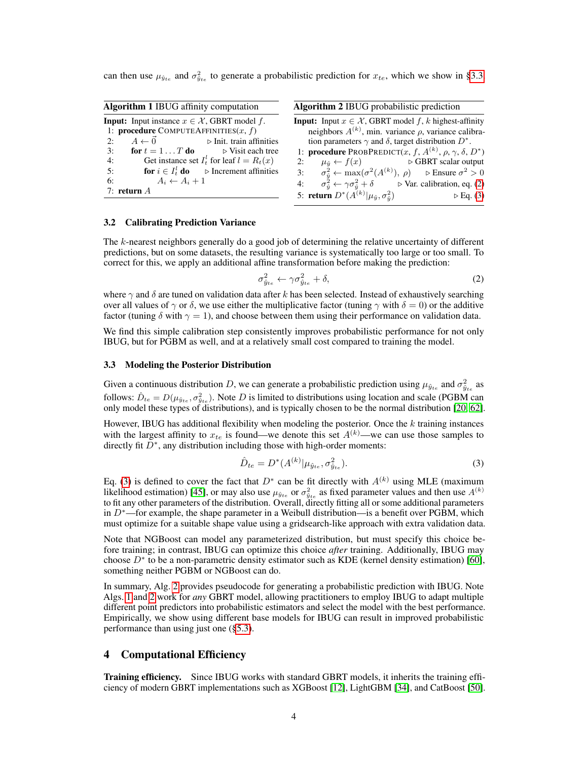can then use  $\mu_{\hat{y}_{te}}$  and  $\sigma_{\hat{y}_{te}}^2$  to generate a probabilistic prediction for  $x_{te}$ , which we show in [§3.3.](#page-3-1)

<span id="page-3-0"></span>

| <b>Algorithm 1 IBUG</b> affinity computation                                                                       | Algorithm 2 IBUG probabilistic prediction                                                                                                    |  |  |  |  |  |
|--------------------------------------------------------------------------------------------------------------------|----------------------------------------------------------------------------------------------------------------------------------------------|--|--|--|--|--|
| <b>Input:</b> Input instance $x \in \mathcal{X}$ , GBRT model f.<br>1: <b>procedure</b> COMPUTEAFFINITIES $(x, f)$ | <b>Input:</b> Input $x \in \mathcal{X}$ , GBRT model f, k highest-affinity<br>neighbors $A^{(k)}$ , min. variance $\rho$ , variance calibra- |  |  |  |  |  |
| 2: $A \leftarrow \vec{0}$ $\triangleright$ Init. train affinities                                                  | tion parameters $\gamma$ and $\delta$ , target distribution $D^*$ .                                                                          |  |  |  |  |  |
| <b>for</b> $t = 1T$ <b>do</b> $\triangleright$ Visit each tree<br>3:                                               | 1: <b>procedure</b> PROBPREDICT $(x, f, A^{(k)}, \rho, \gamma, \delta, D^*)$                                                                 |  |  |  |  |  |
| Get instance set $I_t^l$ for leaf $l = R_t(x)$<br>4:                                                               | 2: $\mu_{\hat{y}} \leftarrow f(x)$ $\triangleright$ GBRT scalar output                                                                       |  |  |  |  |  |
| <b>for</b> $i \in I_t^l$ <b>do</b> $\triangleright$ Increment affinities<br>5:                                     | 3: $\sigma_{\hat{v}}^2 \leftarrow \max(\sigma^2(A^{(k)}), \rho)$ $\triangleright$ Ensure $\sigma^2 > 0$                                      |  |  |  |  |  |
| $A_i \leftarrow A_i + 1$<br>6:                                                                                     | 4: $\sigma_{\hat{v}}^2 \leftarrow \gamma \sigma_{\hat{v}}^2 + \delta$ $\triangleright$ Var. calibration, eq. (2)                             |  |  |  |  |  |
| 7: return $A$                                                                                                      | 5: <b>return</b> $D^*(A^{(k)}   \mu_{\hat{y}}, \sigma_{\hat{y}}^2)$<br>$\triangleright$ Eq. (3)                                              |  |  |  |  |  |

#### <span id="page-3-5"></span>3.2 Calibrating Prediction Variance

The k-nearest neighbors generally do a good job of determining the relative uncertainty of different predictions, but on some datasets, the resulting variance is systematically too large or too small. To correct for this, we apply an additional affine transformation before making the prediction:

<span id="page-3-4"></span><span id="page-3-2"></span>
$$
\sigma_{\hat{y}_{te}}^2 \leftarrow \gamma \sigma_{\hat{y}_{te}}^2 + \delta,\tag{2}
$$

where  $\gamma$  and  $\delta$  are tuned on validation data after k has been selected. Instead of exhaustively searching over all values of  $\gamma$  or  $\delta$ , we use either the multiplicative factor (tuning  $\gamma$  with  $\delta = 0$ ) or the additive factor (tuning  $\delta$  with  $\gamma = 1$ ), and choose between them using their performance on validation data.

We find this simple calibration step consistently improves probabilistic performance for not only IBUG, but for PGBM as well, and at a relatively small cost compared to training the model.

#### <span id="page-3-1"></span>3.3 Modeling the Posterior Distribution

Given a continuous distribution D, we can generate a probabilistic prediction using  $\mu_{\hat{y}_{te}}$  and  $\sigma_{\hat{y}_{te}}^2$  as follows:  $\hat{D}_{te} = D(\mu_{\hat{y}_{te}}, \sigma_{\hat{y}_{te}}^2)$ . Note D is limited to distributions using location and scale (PGBM can only model these types of distributions), and is typically chosen to be the normal distribution [\[20,](#page-9-2) [62\]](#page-12-2).

However, IBUG has additional flexibility when modeling the posterior. Once the  $k$  training instances with the largest affinity to  $x_{te}$  is found—we denote this set  $A^{(k)}$ —we can use those samples to directly fit  $\bar{D}^*$ , any distribution including those with high-order moments:

<span id="page-3-3"></span>
$$
\hat{D}_{te} = D^*(A^{(k)} | \mu_{\hat{y}_{te}}, \sigma^2_{\hat{y}_{te}}).
$$
\n(3)

Eq. [\(3\)](#page-3-3) is defined to cover the fact that  $D^*$  can be fit directly with  $A^{(k)}$  using MLE (maximum likelihood estimation) [\[45\]](#page-11-7), or may also use  $\mu_{\hat{y}_{te}}$  or  $\sigma_{\hat{y}_{te}}^2$  as fixed parameter values and then use  $A^{(k)}$ to fit any other parameters of the distribution. Overall, directly fitting all or some additional parameters in  $D<sup>*</sup>$ —for example, the shape parameter in a Weibull distribution—is a benefit over PGBM, which must optimize for a suitable shape value using a gridsearch-like approach with extra validation data.

Note that NGBoost can model any parameterized distribution, but must specify this choice before training; in contrast, IBUG can optimize this choice *after* training. Additionally, IBUG may choose  $D^*$  to be a non-parametric density estimator such as KDE (kernel density estimation) [\[60\]](#page-12-3), something neither PGBM or NGBoost can do.

In summary, Alg. [2](#page-3-4) provides pseudocode for generating a probabilistic prediction with IBUG. Note Algs. [1](#page-3-0) and [2](#page-3-4) work for *any* GBRT model, allowing practitioners to employ IBUG to adapt multiple different point predictors into probabilistic estimators and select the model with the best performance. Empirically, we show using different base models for IBUG can result in improved probabilistic performance than using just one ([§5.3\)](#page-6-0).

## 4 Computational Efficiency

**Training efficiency.** Since IBUG works with standard GBRT models, it inherits the training efficiency of modern GBRT implementations such as XGBoost [\[12\]](#page-9-6), LightGBM [\[34\]](#page-10-5), and CatBoost [\[50\]](#page-11-0).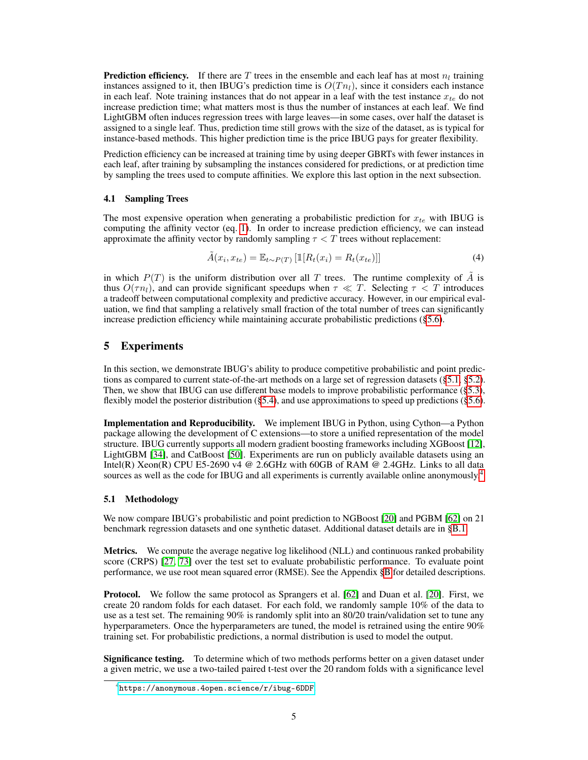**Prediction efficiency.** If there are T trees in the ensemble and each leaf has at most  $n_l$  training instances assigned to it, then IBUG's prediction time is  $O(T_{n_l})$ , since it considers each instance in each leaf. Note training instances that do not appear in a leaf with the test instance  $x_{te}$  do not increase prediction time; what matters most is thus the number of instances at each leaf. We find LightGBM often induces regression trees with large leaves—in some cases, over half the dataset is assigned to a single leaf. Thus, prediction time still grows with the size of the dataset, as is typical for instance-based methods. This higher prediction time is the price IBUG pays for greater flexibility.

Prediction efficiency can be increased at training time by using deeper GBRTs with fewer instances in each leaf, after training by subsampling the instances considered for predictions, or at prediction time by sampling the trees used to compute affinities. We explore this last option in the next subsection.

#### 4.1 Sampling Trees

The most expensive operation when generating a probabilistic prediction for  $x_{te}$  with IBUG is computing the affinity vector (eq. [1\)](#page-2-0). In order to increase prediction efficiency, we can instead approximate the affinity vector by randomly sampling  $\tau < T$  trees without replacement:

$$
\tilde{A}(x_i, x_{te}) = \mathbb{E}_{t \sim P(T)} \left[ \mathbb{1}[R_t(x_i) = R_t(x_{te})] \right]
$$
\n(4)

in which  $P(T)$  is the uniform distribution over all T trees. The runtime complexity of  $\tilde{A}$  is thus  $O(\tau n_l)$ , and can provide significant speedups when  $\tau \ll T$ . Selecting  $\tau \ll T$  introduces a tradeoff between computational complexity and predictive accuracy. However, in our empirical evaluation, we find that sampling a relatively small fraction of the total number of trees can significantly increase prediction efficiency while maintaining accurate probabilistic predictions ([§5.6\)](#page-8-2).

# <span id="page-4-2"></span>5 Experiments

In this section, we demonstrate IBUG's ability to produce competitive probabilistic and point predictions as compared to current state-of-the-art methods on a large set of regression datasets ([§5.1,](#page-4-0) [§5.2\)](#page-5-0). Then, we show that IBUG can use different base models to improve probabilistic performance ([§5.3\)](#page-6-0), flexibly model the posterior distribution ([§5.4\)](#page-6-1), and use approximations to speed up predictions ([§5.6\)](#page-8-2).

Implementation and Reproducibility. We implement IBUG in Python, using Cython—a Python package allowing the development of C extensions—to store a unified representation of the model structure. IBUG currently supports all modern gradient boosting frameworks including XGBoost [\[12\]](#page-9-6), LightGBM [\[34\]](#page-10-5), and CatBoost [\[50\]](#page-11-0). Experiments are run on publicly available datasets using an Intel(R) Xeon(R) CPU E5-2690 v4  $\omega$  2.6GHz with 60GB of RAM  $\omega$  2.4GHz. Links to all data sources as well as the code for IBUG and all experiments is currently available online anonymously.<sup>[4](#page-4-1)</sup>

### <span id="page-4-0"></span>5.1 Methodology

We now compare IBUG's probabilistic and point prediction to NGBoost [\[20\]](#page-9-2) and PGBM [\[62\]](#page-12-2) on 21 benchmark regression datasets and one synthetic dataset. Additional dataset details are in [§B.1.](#page-16-0)

**Metrics.** We compute the average negative log likelihood (NLL) and continuous ranked probability score (CRPS) [\[27,](#page-10-2) [73\]](#page-12-4) over the test set to evaluate probabilistic performance. To evaluate point performance, we use root mean squared error (RMSE). See the Appendix [§B](#page-16-1) for detailed descriptions.

Protocol. We follow the same protocol as Sprangers et al. [\[62\]](#page-12-2) and Duan et al. [\[20\]](#page-9-2). First, we create 20 random folds for each dataset. For each fold, we randomly sample 10% of the data to use as a test set. The remaining  $90\%$  is randomly split into an 80/20 train/validation set to tune any hyperparameters. Once the hyperparameters are tuned, the model is retrained using the entire 90% training set. For probabilistic predictions, a normal distribution is used to model the output.

Significance testing. To determine which of two methods performs better on a given dataset under a given metric, we use a two-tailed paired t-test over the 20 random folds with a significance level

<span id="page-4-1"></span><sup>4</sup> <https://anonymous.4open.science/r/ibug-6DDF>.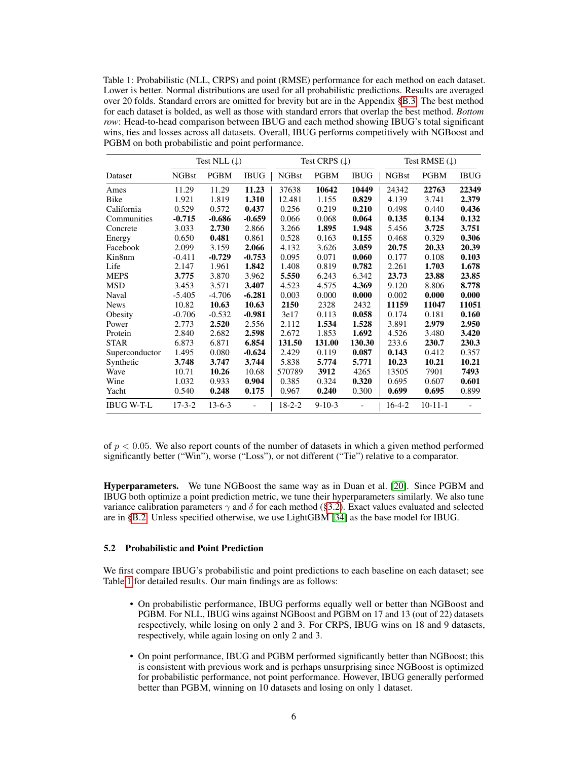<span id="page-5-1"></span>Table 1: Probabilistic (NLL, CRPS) and point (RMSE) performance for each method on each dataset. Lower is better. Normal distributions are used for all probabilistic predictions. Results are averaged over 20 folds. Standard errors are omitted for brevity but are in the Appendix [§B.3.](#page-19-0) The best method for each dataset is bolded, as well as those with standard errors that overlap the best method. *Bottom row*: Head-to-head comparison between IBUG and each method showing IBUG's total significant wins, ties and losses across all datasets. Overall, IBUG performs competitively with NGBoost and PGBM on both probabilistic and point performance.

|                   |              | Test NLL $(\downarrow)$ |             | Test CRPS $(\downarrow)$ |              |             | Test RMSE $(\downarrow)$ |               |             |
|-------------------|--------------|-------------------------|-------------|--------------------------|--------------|-------------|--------------------------|---------------|-------------|
| Dataset           | <b>NGBst</b> | <b>PGBM</b>             | <b>IBUG</b> | <b>NGBst</b>             | <b>PGBM</b>  | <b>IBUG</b> | <b>NGBst</b>             | <b>PGBM</b>   | <b>IBUG</b> |
| Ames              | 11.29        | 11.29                   | 11.23       | 37638                    | 10642        | 10449       | 24342                    | 22763         | 22349       |
| Bike              | 1.921        | 1.819                   | 1.310       | 12.481                   | 1.155        | 0.829       | 4.139                    | 3.741         | 2.379       |
| California        | 0.529        | 0.572                   | 0.437       | 0.256                    | 0.219        | 0.210       | 0.498                    | 0.440         | 0.436       |
| Communities       | $-0.715$     | $-0.686$                | $-0.659$    | 0.066                    | 0.068        | 0.064       | 0.135                    | 0.134         | 0.132       |
| Concrete          | 3.033        | 2.730                   | 2.866       | 3.266                    | 1.895        | 1.948       | 5.456                    | 3.725         | 3.751       |
| Energy            | 0.650        | 0.481                   | 0.861       | 0.528                    | 0.163        | 0.155       | 0.468                    | 0.329         | 0.306       |
| Facebook          | 2.099        | 3.159                   | 2.066       | 4.132                    | 3.626        | 3.059       | 20.75                    | 20.33         | 20.39       |
| Kin8nm            | $-0.411$     | $-0.729$                | $-0.753$    | 0.095                    | 0.071        | 0.060       | 0.177                    | 0.108         | 0.103       |
| Life              | 2.147        | 1.961                   | 1.842       | 1.408                    | 0.819        | 0.782       | 2.261                    | 1.703         | 1.678       |
| <b>MEPS</b>       | 3.775        | 3.870                   | 3.962       | 5.550                    | 6.243        | 6.342       | 23.73                    | 23.88         | 23.85       |
| <b>MSD</b>        | 3.453        | 3.571                   | 3.407       | 4.523                    | 4.575        | 4.369       | 9.120                    | 8.806         | 8.778       |
| Naval             | $-5.405$     | $-4.706$                | $-6.281$    | 0.003                    | 0.000        | 0.000       | 0.002                    | 0.000         | 0.000       |
| <b>News</b>       | 10.82        | 10.63                   | 10.63       | 2150                     | 2328         | 2432        | 11159                    | 11047         | 11051       |
| Obesity           | $-0.706$     | $-0.532$                | $-0.981$    | 3e17                     | 0.113        | 0.058       | 0.174                    | 0.181         | 0.160       |
| Power             | 2.773        | 2.520                   | 2.556       | 2.112                    | 1.534        | 1.528       | 3.891                    | 2.979         | 2.950       |
| Protein           | 2.840        | 2.682                   | 2.598       | 2.672                    | 1.853        | 1.692       | 4.526                    | 3.480         | 3.420       |
| <b>STAR</b>       | 6.873        | 6.871                   | 6.854       | 131.50                   | 131.00       | 130.30      | 233.6                    | 230.7         | 230.3       |
| Superconductor    | 1.495        | 0.080                   | $-0.624$    | 2.429                    | 0.119        | 0.087       | 0.143                    | 0.412         | 0.357       |
| Synthetic         | 3.748        | 3.747                   | 3.744       | 5.838                    | 5.774        | 5.771       | 10.23                    | 10.21         | 10.21       |
| Wave              | 10.71        | 10.26                   | 10.68       | 570789                   | 3912         | 4265        | 13505                    | 7901          | 7493        |
| Wine              | 1.032        | 0.933                   | 0.904       | 0.385                    | 0.324        | 0.320       | 0.695                    | 0.607         | 0.601       |
| Yacht             | 0.540        | 0.248                   | 0.175       | 0.967                    | 0.240        | 0.300       | 0.699                    | 0.695         | 0.899       |
| <b>IBUG W-T-L</b> | $17 - 3 - 2$ | $13 - 6 - 3$            |             | $18 - 2 - 2$             | $9 - 10 - 3$ |             | $16-4-2$                 | $10 - 11 - 1$ |             |

of  $p < 0.05$ . We also report counts of the number of datasets in which a given method performed significantly better ("Win"), worse ("Loss"), or not different ("Tie") relative to a comparator.

Hyperparameters. We tune NGBoost the same way as in Duan et al. [\[20\]](#page-9-2). Since PGBM and IBUG both optimize a point prediction metric, we tune their hyperparameters similarly. We also tune variance calibration parameters  $\gamma$  and  $\delta$  for each method ([§3.2\)](#page-3-5). Exact values evaluated and selected are in [§B.2.](#page-18-0) Unless specified otherwise, we use LightGBM [\[34\]](#page-10-5) as the base model for IBUG.

## <span id="page-5-0"></span>5.2 Probabilistic and Point Prediction

We first compare IBUG's probabilistic and point predictions to each baseline on each dataset; see Table [1](#page-5-1) for detailed results. Our main findings are as follows:

- On probabilistic performance, IBUG performs equally well or better than NGBoost and PGBM. For NLL, IBUG wins against NGBoost and PGBM on 17 and 13 (out of 22) datasets respectively, while losing on only 2 and 3. For CRPS, IBUG wins on 18 and 9 datasets, respectively, while again losing on only 2 and 3.
- On point performance, IBUG and PGBM performed significantly better than NGBoost; this is consistent with previous work and is perhaps unsurprising since NGBoost is optimized for probabilistic performance, not point performance. However, IBUG generally performed better than PGBM, winning on 10 datasets and losing on only 1 dataset.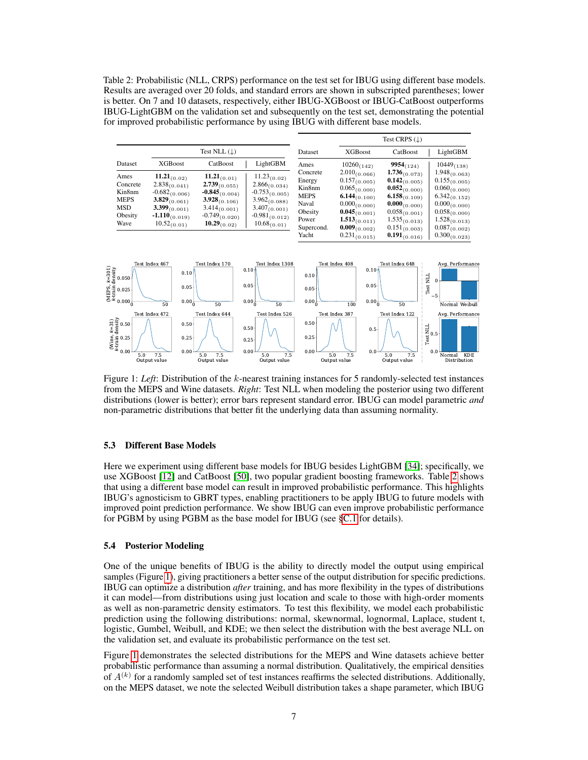<span id="page-6-2"></span>Table 2: Probabilistic (NLL, CRPS) performance on the test set for IBUG using different base models. Results are averaged over 20 folds, and standard errors are shown in subscripted parentheses; lower is better. On 7 and 10 datasets, respectively, either IBUG-XGBoost or IBUG-CatBoost outperforms IBUG-LightGBM on the validation set and subsequently on the test set, demonstrating the potential for improved probabilistic performance by using IBUG with different base models.

|                                                                                                                                                 |                                                                                                                                                 |                                                                                                                                                 |                                                                                                 |                                                                                                                                                                      | Test CRPS $( \downarrow )$                                                                                                                                           |                                                                                                                                                                                           |
|-------------------------------------------------------------------------------------------------------------------------------------------------|-------------------------------------------------------------------------------------------------------------------------------------------------|-------------------------------------------------------------------------------------------------------------------------------------------------|-------------------------------------------------------------------------------------------------|----------------------------------------------------------------------------------------------------------------------------------------------------------------------|----------------------------------------------------------------------------------------------------------------------------------------------------------------------|-------------------------------------------------------------------------------------------------------------------------------------------------------------------------------------------|
|                                                                                                                                                 | Test NLL $(\downarrow)$                                                                                                                         |                                                                                                                                                 | Dataset                                                                                         | <b>XGBoost</b>                                                                                                                                                       | CatBoost                                                                                                                                                             | LightGBM                                                                                                                                                                                  |
| <b>XGBoost</b>                                                                                                                                  | CatBoost                                                                                                                                        | LightGBM                                                                                                                                        | Ames                                                                                            | $10260_{(142)}$                                                                                                                                                      | $9954_{(124)}$                                                                                                                                                       | $10449_{(138)}$                                                                                                                                                                           |
| $11.21_{(0.02)}$<br>$2.838_{(0.041)}$<br>$-0.682_{(0.006)}$<br>$3.829_{(0.061)}$<br>$3.399_{(0.001)}$<br>$-1.110_{(0.019)}$<br>$10.52_{(0.01)}$ | $11.21_{(0.01)}$<br>$2.739_{(0.055)}$<br>$-0.845_{(0.004)}$<br>$3.928_{(0.106)}$<br>$3.414_{(0.001)}$<br>$-0.749_{(0.020)}$<br>$10.29_{(0.02)}$ | $11.23_{(0.02)}$<br>$2.866_{(0.034)}$<br>$-0.753_{(0.005)}$<br>$3.962_{(0.088)}$<br>$3.407_{(0.001)}$<br>$-0.981_{(0.012)}$<br>$10.68_{(0.01)}$ | Concrete<br>Energy<br>Kin8nm<br><b>MEPS</b><br>Naval<br>Obesity<br>Power<br>Supercond.<br>Yacht | $0.157_{(0.005)}$<br>$0.065_{(0.000)}$<br>$6.144_{(0.100)}$<br>$0.000_{(0.000)}$<br>$0.045_{(0.001)}$<br>$1.513_{(0.011)}$<br>$0.009_{(0.002)}$<br>$0.231_{(0.015)}$ | $0.142_{(0.005)}$<br>$0.052_{(0.000)}$<br>$6.158_{(0.109)}$<br>$0.000_{(0.000)}$<br>$0.058_{(0.001)}$<br>$1.535_{(0.013)}$<br>$0.151_{(0.003)}$<br>$0.191_{(0.016)}$ | $1.948_{(0.063)}$<br>$0.155_{(0.005)}$<br>$0.060_{(0.000)}$<br>$6.342_{(0.152)}$<br>$0.000_{(0.000)}$<br>$0.058_{(0.000)}$<br>$1.528_{(0.013)}$<br>$0.087_{(0.002)}$<br>$0.300_{(0.023)}$ |
| Test Index 467                                                                                                                                  | Test Index 170                                                                                                                                  |                                                                                                                                                 |                                                                                                 | $0.10+$                                                                                                                                                              |                                                                                                                                                                      | Avg. Performance                                                                                                                                                                          |
|                                                                                                                                                 |                                                                                                                                                 |                                                                                                                                                 | 0.10 <sub>1</sub>                                                                               | Test Index 1308                                                                                                                                                      | $2.010_{(0.066)}$<br>Test Index 408                                                                                                                                  | $1.736_{(0.073)}$<br>Test Index 648                                                                                                                                                       |

<span id="page-6-3"></span>

Figure 1: *Left*: Distribution of the k-nearest training instances for 5 randomly-selected test instances from the MEPS and Wine datasets. *Right*: Test NLL when modeling the posterior using two different distributions (lower is better); error bars represent standard error. IBUG can model parametric *and* non-parametric distributions that better fit the underlying data than assuming normality.

#### <span id="page-6-0"></span>5.3 Different Base Models

Here we experiment using different base models for IBUG besides LightGBM [\[34\]](#page-10-5); specifically, we use XGBoost [\[12\]](#page-9-6) and CatBoost [\[50\]](#page-11-0), two popular gradient boosting frameworks. Table [2](#page-6-2) shows that using a different base model can result in improved probabilistic performance. This highlights IBUG's agnosticism to GBRT types, enabling practitioners to be apply IBUG to future models with improved point prediction performance. We show IBUG can even improve probabilistic performance for PGBM by using PGBM as the base model for IBUG (see [§C.1](#page-23-0) for details).

# <span id="page-6-1"></span>5.4 Posterior Modeling

One of the unique benefits of IBUG is the ability to directly model the output using empirical samples (Figure [1\)](#page-6-3), giving practitioners a better sense of the output distribution for specific predictions. IBUG can optimize a distribution *after* training, and has more flexibility in the types of distributions it can model—from distributions using just location and scale to those with high-order moments as well as non-parametric density estimators. To test this flexibility, we model each probabilistic prediction using the following distributions: normal, skewnormal, lognormal, Laplace, student t, logistic, Gumbel, Weibull, and KDE; we then select the distribution with the best average NLL on the validation set, and evaluate its probabilistic performance on the test set.

Figure [1](#page-6-3) demonstrates the selected distributions for the MEPS and Wine datasets achieve better probabilistic performance than assuming a normal distribution. Qualitatively, the empirical densities of  $A^{(k)}$  for a randomly sampled set of test instances reaffirms the selected distributions. Additionally, on the MEPS dataset, we note the selected Weibull distribution takes a shape parameter, which IBUG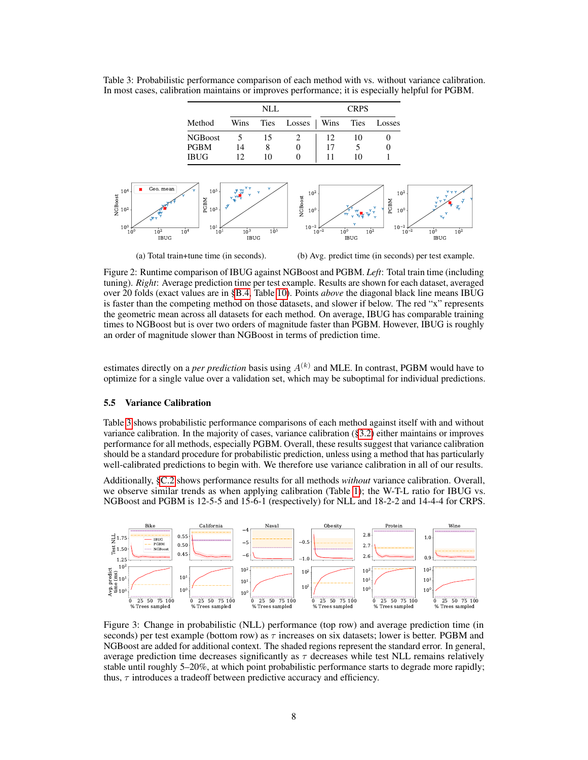<span id="page-7-1"></span>

<span id="page-7-0"></span>Table 3: Probabilistic performance comparison of each method with vs. without variance calibration. In most cases, calibration maintains or improves performance; it is especially helpful for PGBM.

(a) Total train+tune time (in seconds).

(b) Avg. predict time (in seconds) per test example.

Figure 2: Runtime comparison of IBUG against NGBoost and PGBM. *Left*: Total train time (including tuning). *Right*: Average prediction time per test example. Results are shown for each dataset, averaged over 20 folds (exact values are in [§B.4,](#page-21-0) Table [10\)](#page-21-1). Points *above* the diagonal black line means IBUG is faster than the competing method on those datasets, and slower if below. The red "x" represents the geometric mean across all datasets for each method. On average, IBUG has comparable training times to NGBoost but is over two orders of magnitude faster than PGBM. However, IBUG is roughly an order of magnitude slower than NGBoost in terms of prediction time.

estimates directly on a *per prediction* basis using  $A^{(k)}$  and MLE. In contrast, PGBM would have to optimize for a single value over a validation set, which may be suboptimal for individual predictions.

#### 5.5 Variance Calibration

Table [3](#page-7-0) shows probabilistic performance comparisons of each method against itself with and without variance calibration. In the majority of cases, variance calibration ([§3.2\)](#page-3-5) either maintains or improves performance for all methods, especially PGBM. Overall, these results suggest that variance calibration should be a standard procedure for probabilistic prediction, unless using a method that has particularly well-calibrated predictions to begin with. We therefore use variance calibration in all of our results.

Additionally, [§C.2](#page-24-0) shows performance results for all methods *without* variance calibration. Overall, we observe similar trends as when applying calibration (Table [1\)](#page-5-1); the W-T-L ratio for IBUG vs. NGBoost and PGBM is 12-5-5 and 15-6-1 (respectively) for NLL and 18-2-2 and 14-4-4 for CRPS.

<span id="page-7-2"></span>

Figure 3: Change in probabilistic (NLL) performance (top row) and average prediction time (in seconds) per test example (bottom row) as  $\tau$  increases on six datasets; lower is better. PGBM and NGBoost are added for additional context. The shaded regions represent the standard error. In general, average prediction time decreases significantly as  $\tau$  decreases while test NLL remains relatively stable until roughly 5–20%, at which point probabilistic performance starts to degrade more rapidly; thus,  $\tau$  introduces a tradeoff between predictive accuracy and efficiency.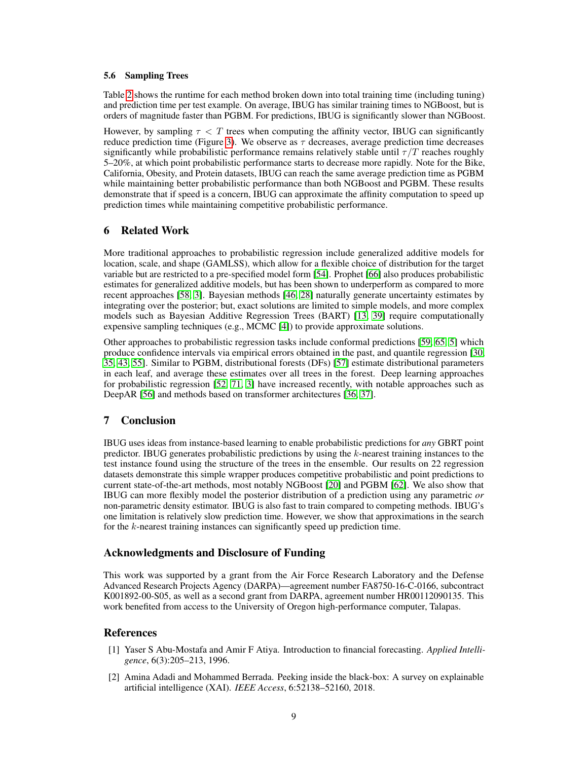#### <span id="page-8-2"></span>5.6 Sampling Trees

Table [2](#page-7-1) shows the runtime for each method broken down into total training time (including tuning) and prediction time per test example. On average, IBUG has similar training times to NGBoost, but is orders of magnitude faster than PGBM. For predictions, IBUG is significantly slower than NGBoost.

However, by sampling  $\tau < T$  trees when computing the affinity vector, IBUG can significantly reduce prediction time (Figure [3\)](#page-7-2). We observe as  $\tau$  decreases, average prediction time decreases significantly while probabilistic performance remains relatively stable until  $\tau/T$  reaches roughly 5–20%, at which point probabilistic performance starts to decrease more rapidly. Note for the Bike, California, Obesity, and Protein datasets, IBUG can reach the same average prediction time as PGBM while maintaining better probabilistic performance than both NGBoost and PGBM. These results demonstrate that if speed is a concern, IBUG can approximate the affinity computation to speed up prediction times while maintaining competitive probabilistic performance.

### 6 Related Work

More traditional approaches to probabilistic regression include generalized additive models for location, scale, and shape (GAMLSS), which allow for a flexible choice of distribution for the target variable but are restricted to a pre-specified model form [\[54\]](#page-11-8). Prophet [\[66\]](#page-12-0) also produces probabilistic estimates for generalized additive models, but has been shown to underperform as compared to more recent approaches [\[58,](#page-12-5) [3\]](#page-9-7). Bayesian methods [\[46,](#page-11-9) [28\]](#page-10-8) naturally generate uncertainty estimates by integrating over the posterior; but, exact solutions are limited to simple models, and more complex models such as Bayesian Additive Regression Trees (BART) [\[13,](#page-9-8) [39\]](#page-10-9) require computationally expensive sampling techniques (e.g., MCMC [\[4\]](#page-9-9)) to provide approximate solutions.

Other approaches to probabilistic regression tasks include conformal predictions [\[59,](#page-12-6) [65,](#page-12-7) [5\]](#page-9-10) which produce confidence intervals via empirical errors obtained in the past, and quantile regression [\[30,](#page-10-10) [35,](#page-10-11) [43,](#page-11-10) [55\]](#page-11-11). Similar to PGBM, distributional forests (DFs) [\[57\]](#page-11-12) estimate distributional parameters in each leaf, and average these estimates over all trees in the forest. Deep learning approaches for probabilistic regression [\[52,](#page-11-13) [71,](#page-12-8) [3\]](#page-9-7) have increased recently, with notable approaches such as DeepAR [\[56\]](#page-11-14) and methods based on transformer architectures [\[36,](#page-10-12) [37\]](#page-10-13).

## <span id="page-8-3"></span>7 Conclusion

IBUG uses ideas from instance-based learning to enable probabilistic predictions for *any* GBRT point predictor. IBUG generates probabilistic predictions by using the  $k$ -nearest training instances to the test instance found using the structure of the trees in the ensemble. Our results on 22 regression datasets demonstrate this simple wrapper produces competitive probabilistic and point predictions to current state-of-the-art methods, most notably NGBoost [\[20\]](#page-9-2) and PGBM [\[62\]](#page-12-2). We also show that IBUG can more flexibly model the posterior distribution of a prediction using any parametric *or* non-parametric density estimator. IBUG is also fast to train compared to competing methods. IBUG's one limitation is relatively slow prediction time. However, we show that approximations in the search for the k-nearest training instances can significantly speed up prediction time.

## Acknowledgments and Disclosure of Funding

This work was supported by a grant from the Air Force Research Laboratory and the Defense Advanced Research Projects Agency (DARPA)—agreement number FA8750-16-C-0166, subcontract K001892-00-S05, as well as a second grant from DARPA, agreement number HR00112090135. This work benefited from access to the University of Oregon high-performance computer, Talapas.

# References

- <span id="page-8-0"></span>[1] Yaser S Abu-Mostafa and Amir F Atiya. Introduction to financial forecasting. *Applied Intelligence*, 6(3):205–213, 1996.
- <span id="page-8-1"></span>[2] Amina Adadi and Mohammed Berrada. Peeking inside the black-box: A survey on explainable artificial intelligence (XAI). *IEEE Access*, 6:52138–52160, 2018.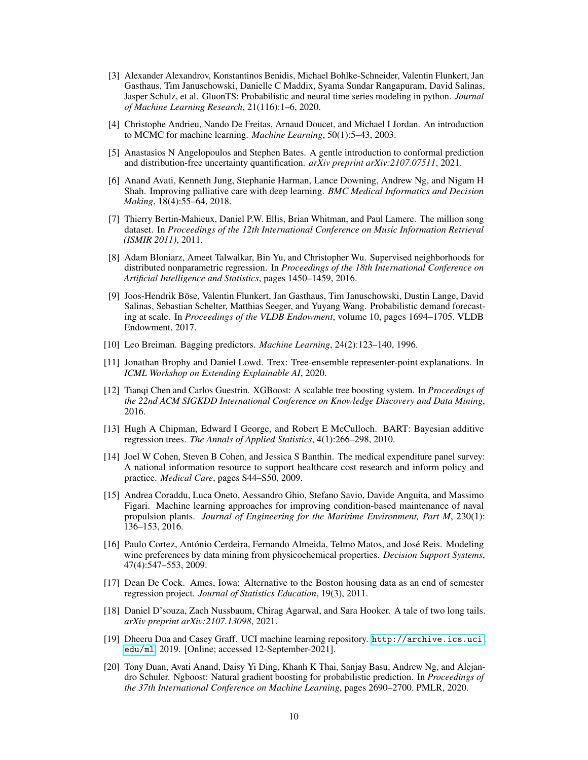- <span id="page-9-7"></span>[3] Alexander Alexandrov, Konstantinos Benidis, Michael Bohlke-Schneider, Valentin Flunkert, Jan Gasthaus, Tim Januschowski, Danielle C Maddix, Syama Sundar Rangapuram, David Salinas, Jasper Schulz, et al. GluonTS: Probabilistic and neural time series modeling in python. *Journal of Machine Learning Research*, 21(116):1–6, 2020.
- <span id="page-9-9"></span>[4] Christophe Andrieu, Nando De Freitas, Arnaud Doucet, and Michael I Jordan. An introduction to MCMC for machine learning. *Machine Learning*, 50(1):5–43, 2003.
- <span id="page-9-10"></span>[5] Anastasios N Angelopoulos and Stephen Bates. A gentle introduction to conformal prediction and distribution-free uncertainty quantification. *arXiv preprint arXiv:2107.07511*, 2021.
- <span id="page-9-0"></span>[6] Anand Avati, Kenneth Jung, Stephanie Harman, Lance Downing, Andrew Ng, and Nigam H Shah. Improving palliative care with deep learning. *BMC Medical Informatics and Decision Making*, 18(4):55–64, 2018.
- <span id="page-9-14"></span>[7] Thierry Bertin-Mahieux, Daniel P.W. Ellis, Brian Whitman, and Paul Lamere. The million song dataset. In *Proceedings of the 12th International Conference on Music Information Retrieval (ISMIR 2011)*, 2011.
- <span id="page-9-4"></span>[8] Adam Bloniarz, Ameet Talwalkar, Bin Yu, and Christopher Wu. Supervised neighborhoods for distributed nonparametric regression. In *Proceedings of the 18th International Conference on Artificial Intelligence and Statistics*, pages 1450–1459, 2016.
- <span id="page-9-1"></span>[9] Joos-Hendrik Böse, Valentin Flunkert, Jan Gasthaus, Tim Januschowski, Dustin Lange, David Salinas, Sebastian Schelter, Matthias Seeger, and Yuyang Wang. Probabilistic demand forecasting at scale. In *Proceedings of the VLDB Endowment*, volume 10, pages 1694–1705. VLDB Endowment, 2017.
- <span id="page-9-16"></span>[10] Leo Breiman. Bagging predictors. *Machine Learning*, 24(2):123–140, 1996.
- <span id="page-9-5"></span>[11] Jonathan Brophy and Daniel Lowd. Trex: Tree-ensemble representer-point explanations. In *ICML Workshop on Extending Explainable AI*, 2020.
- <span id="page-9-6"></span>[12] Tianqi Chen and Carlos Guestrin. XGBoost: A scalable tree boosting system. In *Proceedings of the 22nd ACM SIGKDD International Conference on Knowledge Discovery and Data Mining*, 2016.
- <span id="page-9-8"></span>[13] Hugh A Chipman, Edward I George, and Robert E McCulloch. BART: Bayesian additive regression trees. *The Annals of Applied Statistics*, 4(1):266–298, 2010.
- <span id="page-9-13"></span>[14] Joel W Cohen, Steven B Cohen, and Jessica S Banthin. The medical expenditure panel survey: A national information resource to support healthcare cost research and inform policy and practice. *Medical Care*, pages S44–S50, 2009.
- <span id="page-9-15"></span>[15] Andrea Coraddu, Luca Oneto, Aessandro Ghio, Stefano Savio, Davide Anguita, and Massimo Figari. Machine learning approaches for improving condition-based maintenance of naval propulsion plants. *Journal of Engineering for the Maritime Environment, Part M*, 230(1): 136–153, 2016.
- <span id="page-9-17"></span>[16] Paulo Cortez, António Cerdeira, Fernando Almeida, Telmo Matos, and José Reis. Modeling wine preferences by data mining from physicochemical properties. *Decision Support Systems*, 47(4):547–553, 2009.
- <span id="page-9-11"></span>[17] Dean De Cock. Ames, Iowa: Alternative to the Boston housing data as an end of semester regression project. *Journal of Statistics Education*, 19(3), 2011.
- <span id="page-9-3"></span>[18] Daniel D'souza, Zach Nussbaum, Chirag Agarwal, and Sara Hooker. A tale of two long tails. *arXiv preprint arXiv:2107.13098*, 2021.
- <span id="page-9-12"></span>[19] Dheeru Dua and Casey Graff. UCI machine learning repository. [http://archive.ics.uci.](http://archive.ics.uci.edu/ml) [edu/ml](http://archive.ics.uci.edu/ml), 2019. [Online; accessed 12-September-2021].
- <span id="page-9-2"></span>[20] Tony Duan, Avati Anand, Daisy Yi Ding, Khanh K Thai, Sanjay Basu, Andrew Ng, and Alejandro Schuler. Ngboost: Natural gradient boosting for probabilistic prediction. In *Proceedings of the 37th International Conference on Machine Learning*, pages 2690–2700. PMLR, 2020.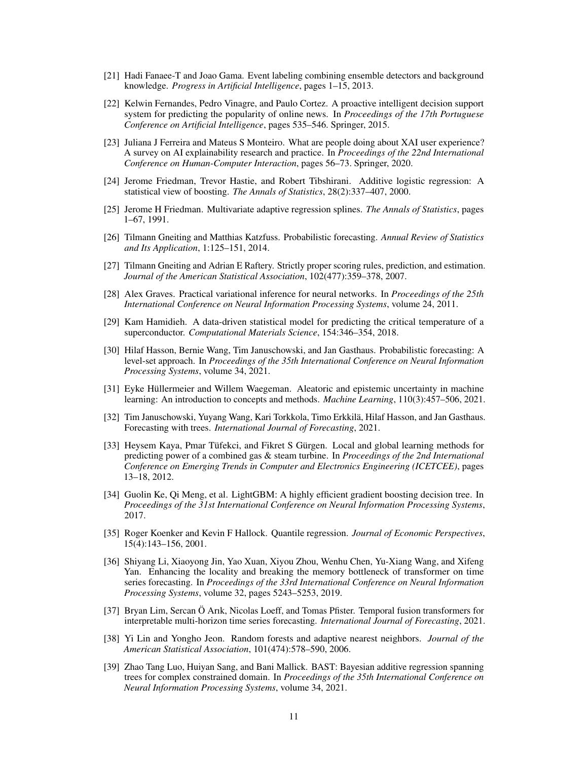- <span id="page-10-14"></span>[21] Hadi Fanaee-T and Joao Gama. Event labeling combining ensemble detectors and background knowledge. *Progress in Artificial Intelligence*, pages 1–15, 2013.
- <span id="page-10-15"></span>[22] Kelwin Fernandes, Pedro Vinagre, and Paulo Cortez. A proactive intelligent decision support system for predicting the popularity of online news. In *Proceedings of the 17th Portuguese Conference on Artificial Intelligence*, pages 535–546. Springer, 2015.
- <span id="page-10-4"></span>[23] Juliana J Ferreira and Mateus S Monteiro. What are people doing about XAI user experience? A survey on AI explainability research and practice. In *Proceedings of the 22nd International Conference on Human-Computer Interaction*, pages 56–73. Springer, 2020.
- <span id="page-10-0"></span>[24] Jerome Friedman, Trevor Hastie, and Robert Tibshirani. Additive logistic regression: A statistical view of boosting. *The Annals of Statistics*, 28(2):337–407, 2000.
- <span id="page-10-18"></span>[25] Jerome H Friedman. Multivariate adaptive regression splines. *The Annals of Statistics*, pages 1–67, 1991.
- <span id="page-10-3"></span>[26] Tilmann Gneiting and Matthias Katzfuss. Probabilistic forecasting. *Annual Review of Statistics and Its Application*, 1:125–151, 2014.
- <span id="page-10-2"></span>[27] Tilmann Gneiting and Adrian E Raftery. Strictly proper scoring rules, prediction, and estimation. *Journal of the American Statistical Association*, 102(477):359–378, 2007.
- <span id="page-10-8"></span>[28] Alex Graves. Practical variational inference for neural networks. In *Proceedings of the 25th International Conference on Neural Information Processing Systems*, volume 24, 2011.
- <span id="page-10-17"></span>[29] Kam Hamidieh. A data-driven statistical model for predicting the critical temperature of a superconductor. *Computational Materials Science*, 154:346–354, 2018.
- <span id="page-10-10"></span>[30] Hilaf Hasson, Bernie Wang, Tim Januschowski, and Jan Gasthaus. Probabilistic forecasting: A level-set approach. In *Proceedings of the 35th International Conference on Neural Information Processing Systems*, volume 34, 2021.
- <span id="page-10-6"></span>[31] Eyke Hüllermeier and Willem Waegeman. Aleatoric and epistemic uncertainty in machine learning: An introduction to concepts and methods. *Machine Learning*, 110(3):457–506, 2021.
- <span id="page-10-1"></span>[32] Tim Januschowski, Yuyang Wang, Kari Torkkola, Timo Erkkilä, Hilaf Hasson, and Jan Gasthaus. Forecasting with trees. *International Journal of Forecasting*, 2021.
- <span id="page-10-16"></span>[33] Heysem Kaya, Pmar Tüfekci, and Fikret S Gürgen. Local and global learning methods for predicting power of a combined gas & steam turbine. In *Proceedings of the 2nd International Conference on Emerging Trends in Computer and Electronics Engineering (ICETCEE)*, pages 13–18, 2012.
- <span id="page-10-5"></span>[34] Guolin Ke, Qi Meng, et al. LightGBM: A highly efficient gradient boosting decision tree. In *Proceedings of the 31st International Conference on Neural Information Processing Systems*, 2017.
- <span id="page-10-11"></span>[35] Roger Koenker and Kevin F Hallock. Quantile regression. *Journal of Economic Perspectives*, 15(4):143–156, 2001.
- <span id="page-10-12"></span>[36] Shiyang Li, Xiaoyong Jin, Yao Xuan, Xiyou Zhou, Wenhu Chen, Yu-Xiang Wang, and Xifeng Yan. Enhancing the locality and breaking the memory bottleneck of transformer on time series forecasting. In *Proceedings of the 33rd International Conference on Neural Information Processing Systems*, volume 32, pages 5243–5253, 2019.
- <span id="page-10-13"></span>[37] Bryan Lim, Sercan Ö Arık, Nicolas Loeff, and Tomas Pfister. Temporal fusion transformers for interpretable multi-horizon time series forecasting. *International Journal of Forecasting*, 2021.
- <span id="page-10-7"></span>[38] Yi Lin and Yongho Jeon. Random forests and adaptive nearest neighbors. *Journal of the American Statistical Association*, 101(474):578–590, 2006.
- <span id="page-10-9"></span>[39] Zhao Tang Luo, Huiyan Sang, and Bani Mallick. BAST: Bayesian additive regression spanning trees for complex constrained domain. In *Proceedings of the 35th International Conference on Neural Information Processing Systems*, volume 34, 2021.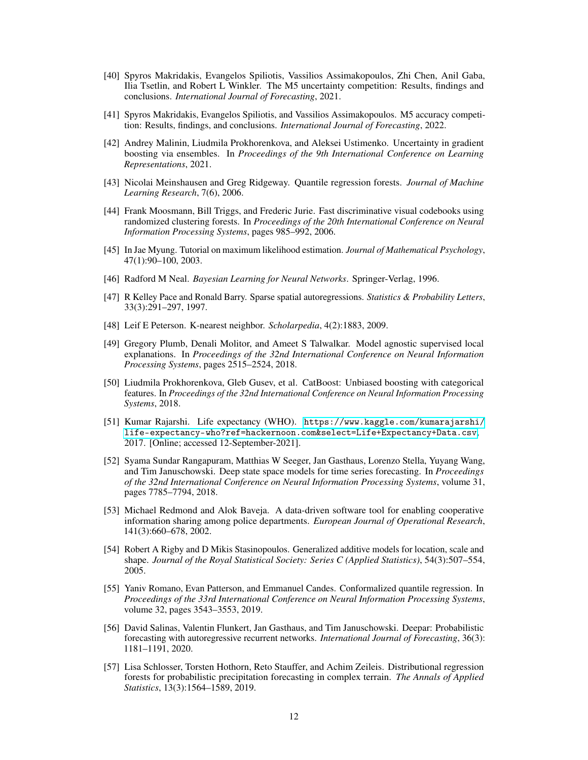- <span id="page-11-2"></span>[40] Spyros Makridakis, Evangelos Spiliotis, Vassilios Assimakopoulos, Zhi Chen, Anil Gaba, Ilia Tsetlin, and Robert L Winkler. The M5 uncertainty competition: Results, findings and conclusions. *International Journal of Forecasting*, 2021.
- <span id="page-11-1"></span>[41] Spyros Makridakis, Evangelos Spiliotis, and Vassilios Assimakopoulos. M5 accuracy competition: Results, findings, and conclusions. *International Journal of Forecasting*, 2022.
- <span id="page-11-3"></span>[42] Andrey Malinin, Liudmila Prokhorenkova, and Aleksei Ustimenko. Uncertainty in gradient boosting via ensembles. In *Proceedings of the 9th International Conference on Learning Representations*, 2021.
- <span id="page-11-10"></span>[43] Nicolai Meinshausen and Greg Ridgeway. Quantile regression forests. *Journal of Machine Learning Research*, 7(6), 2006.
- <span id="page-11-5"></span>[44] Frank Moosmann, Bill Triggs, and Frederic Jurie. Fast discriminative visual codebooks using randomized clustering forests. In *Proceedings of the 20th International Conference on Neural Information Processing Systems*, pages 985–992, 2006.
- <span id="page-11-7"></span>[45] In Jae Myung. Tutorial on maximum likelihood estimation. *Journal of Mathematical Psychology*, 47(1):90–100, 2003.
- <span id="page-11-9"></span>[46] Radford M Neal. *Bayesian Learning for Neural Networks*. Springer-Verlag, 1996.
- <span id="page-11-15"></span>[47] R Kelley Pace and Ronald Barry. Sparse spatial autoregressions. *Statistics & Probability Letters*, 33(3):291–297, 1997.
- <span id="page-11-4"></span>[48] Leif E Peterson. K-nearest neighbor. *Scholarpedia*, 4(2):1883, 2009.
- <span id="page-11-6"></span>[49] Gregory Plumb, Denali Molitor, and Ameet S Talwalkar. Model agnostic supervised local explanations. In *Proceedings of the 32nd International Conference on Neural Information Processing Systems*, pages 2515–2524, 2018.
- <span id="page-11-0"></span>[50] Liudmila Prokhorenkova, Gleb Gusev, et al. CatBoost: Unbiased boosting with categorical features. In *Proceedings of the 32nd International Conference on Neural Information Processing Systems*, 2018.
- <span id="page-11-17"></span>[51] Kumar Rajarshi. Life expectancy (WHO). [https://www.kaggle.com/kumarajarshi/](https://www.kaggle.com/kumarajarshi/life-expectancy-who?ref=hackernoon.com&select=Life+Expectancy+Data.csv) [life-expectancy-who?ref=hackernoon.com&select=Life+Expectancy+Data.csv](https://www.kaggle.com/kumarajarshi/life-expectancy-who?ref=hackernoon.com&select=Life+Expectancy+Data.csv), 2017. [Online; accessed 12-September-2021].
- <span id="page-11-13"></span>[52] Syama Sundar Rangapuram, Matthias W Seeger, Jan Gasthaus, Lorenzo Stella, Yuyang Wang, and Tim Januschowski. Deep state space models for time series forecasting. In *Proceedings of the 32nd International Conference on Neural Information Processing Systems*, volume 31, pages 7785–7794, 2018.
- <span id="page-11-16"></span>[53] Michael Redmond and Alok Baveja. A data-driven software tool for enabling cooperative information sharing among police departments. *European Journal of Operational Research*, 141(3):660–678, 2002.
- <span id="page-11-8"></span>[54] Robert A Rigby and D Mikis Stasinopoulos. Generalized additive models for location, scale and shape. *Journal of the Royal Statistical Society: Series C (Applied Statistics)*, 54(3):507–554, 2005.
- <span id="page-11-11"></span>[55] Yaniv Romano, Evan Patterson, and Emmanuel Candes. Conformalized quantile regression. In *Proceedings of the 33rd International Conference on Neural Information Processing Systems*, volume 32, pages 3543–3553, 2019.
- <span id="page-11-14"></span>[56] David Salinas, Valentin Flunkert, Jan Gasthaus, and Tim Januschowski. Deepar: Probabilistic forecasting with autoregressive recurrent networks. *International Journal of Forecasting*, 36(3): 1181–1191, 2020.
- <span id="page-11-12"></span>[57] Lisa Schlosser, Torsten Hothorn, Reto Stauffer, and Achim Zeileis. Distributional regression forests for probabilistic precipitation forecasting in complex terrain. *The Annals of Applied Statistics*, 13(3):1564–1589, 2019.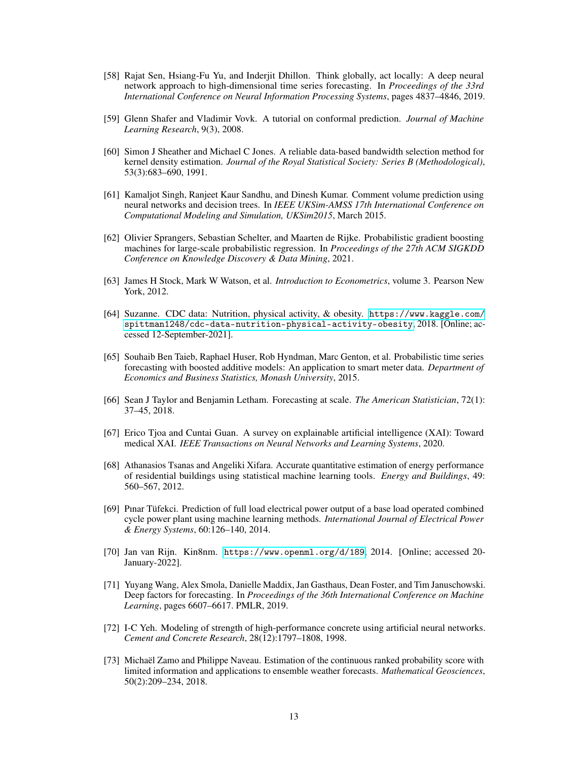- <span id="page-12-5"></span>[58] Rajat Sen, Hsiang-Fu Yu, and Inderjit Dhillon. Think globally, act locally: A deep neural network approach to high-dimensional time series forecasting. In *Proceedings of the 33rd International Conference on Neural Information Processing Systems*, pages 4837–4846, 2019.
- <span id="page-12-6"></span>[59] Glenn Shafer and Vladimir Vovk. A tutorial on conformal prediction. *Journal of Machine Learning Research*, 9(3), 2008.
- <span id="page-12-3"></span>[60] Simon J Sheather and Michael C Jones. A reliable data-based bandwidth selection method for kernel density estimation. *Journal of the Royal Statistical Society: Series B (Methodological)*, 53(3):683–690, 1991.
- <span id="page-12-11"></span>[61] Kamaljot Singh, Ranjeet Kaur Sandhu, and Dinesh Kumar. Comment volume prediction using neural networks and decision trees. In *IEEE UKSim-AMSS 17th International Conference on Computational Modeling and Simulation, UKSim2015*, March 2015.
- <span id="page-12-2"></span>[62] Olivier Sprangers, Sebastian Schelter, and Maarten de Rijke. Probabilistic gradient boosting machines for large-scale probabilistic regression. In *Proceedings of the 27th ACM SIGKDD Conference on Knowledge Discovery & Data Mining*, 2021.
- <span id="page-12-15"></span>[63] James H Stock, Mark W Watson, et al. *Introduction to Econometrics*, volume 3. Pearson New York, 2012.
- <span id="page-12-13"></span>[64] Suzanne. CDC data: Nutrition, physical activity, & obesity. [https://www.kaggle.com/](https://www.kaggle.com/spittman1248/cdc-data-nutrition-physical-activity-obesity) [spittman1248/cdc-data-nutrition-physical-activity-obesity](https://www.kaggle.com/spittman1248/cdc-data-nutrition-physical-activity-obesity), 2018. [Online; accessed 12-September-2021].
- <span id="page-12-7"></span>[65] Souhaib Ben Taieb, Raphael Huser, Rob Hyndman, Marc Genton, et al. Probabilistic time series forecasting with boosted additive models: An application to smart meter data. *Department of Economics and Business Statistics, Monash University*, 2015.
- <span id="page-12-0"></span>[66] Sean J Taylor and Benjamin Letham. Forecasting at scale. *The American Statistician*, 72(1): 37–45, 2018.
- <span id="page-12-1"></span>[67] Erico Tjoa and Cuntai Guan. A survey on explainable artificial intelligence (XAI): Toward medical XAI. *IEEE Transactions on Neural Networks and Learning Systems*, 2020.
- <span id="page-12-10"></span>[68] Athanasios Tsanas and Angeliki Xifara. Accurate quantitative estimation of energy performance of residential buildings using statistical machine learning tools. *Energy and Buildings*, 49: 560–567, 2012.
- <span id="page-12-14"></span>[69] Pınar Tüfekci. Prediction of full load electrical power output of a base load operated combined cycle power plant using machine learning methods. *International Journal of Electrical Power & Energy Systems*, 60:126–140, 2014.
- <span id="page-12-12"></span>[70] Jan van Rijn. Kin8nm. <https://www.openml.org/d/189>, 2014. [Online; accessed 20- January-2022].
- <span id="page-12-8"></span>[71] Yuyang Wang, Alex Smola, Danielle Maddix, Jan Gasthaus, Dean Foster, and Tim Januschowski. Deep factors for forecasting. In *Proceedings of the 36th International Conference on Machine Learning*, pages 6607–6617. PMLR, 2019.
- <span id="page-12-9"></span>[72] I-C Yeh. Modeling of strength of high-performance concrete using artificial neural networks. *Cement and Concrete Research*, 28(12):1797–1808, 1998.
- <span id="page-12-4"></span>[73] Michaël Zamo and Philippe Naveau. Estimation of the continuous ranked probability score with limited information and applications to ensemble weather forecasts. *Mathematical Geosciences*, 50(2):209–234, 2018.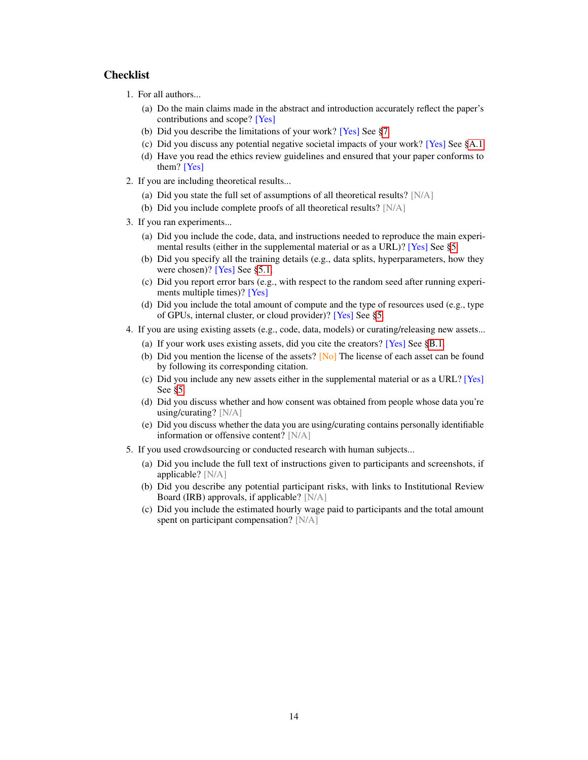# **Checklist**

- 1. For all authors...
	- (a) Do the main claims made in the abstract and introduction accurately reflect the paper's contributions and scope? [Yes]
	- (b) Did you describe the limitations of your work? [Yes] See [§7.](#page-8-3)
	- (c) Did you discuss any potential negative societal impacts of your work? [Yes] See [§A.1.](#page-14-0)
	- (d) Have you read the ethics review guidelines and ensured that your paper conforms to them? [Yes]
- 2. If you are including theoretical results...
	- (a) Did you state the full set of assumptions of all theoretical results? [N/A]
	- (b) Did you include complete proofs of all theoretical results? [N/A]
- 3. If you ran experiments...
	- (a) Did you include the code, data, and instructions needed to reproduce the main experimental results (either in the supplemental material or as a URL)? [Yes] See [§5.](#page-4-2)
	- (b) Did you specify all the training details (e.g., data splits, hyperparameters, how they were chosen)? [Yes] See [§5.1.](#page-4-0)
	- (c) Did you report error bars (e.g., with respect to the random seed after running experiments multiple times)? [Yes]
	- (d) Did you include the total amount of compute and the type of resources used (e.g., type of GPUs, internal cluster, or cloud provider)? [Yes] See [§5.](#page-4-2)
- 4. If you are using existing assets (e.g., code, data, models) or curating/releasing new assets...
	- (a) If your work uses existing assets, did you cite the creators? [Yes] See [§B.1.](#page-16-0)
	- (b) Did you mention the license of the assets?  $[N<sub>o</sub>]$  The license of each asset can be found by following its corresponding citation.
	- (c) Did you include any new assets either in the supplemental material or as a URL? [Yes] See [§5.](#page-4-2)
	- (d) Did you discuss whether and how consent was obtained from people whose data you're using/curating? [N/A]
	- (e) Did you discuss whether the data you are using/curating contains personally identifiable information or offensive content? [N/A]
- 5. If you used crowdsourcing or conducted research with human subjects...
	- (a) Did you include the full text of instructions given to participants and screenshots, if applicable? [N/A]
	- (b) Did you describe any potential participant risks, with links to Institutional Review Board (IRB) approvals, if applicable? [N/A]
	- (c) Did you include the estimated hourly wage paid to participants and the total amount spent on participant compensation? [N/A]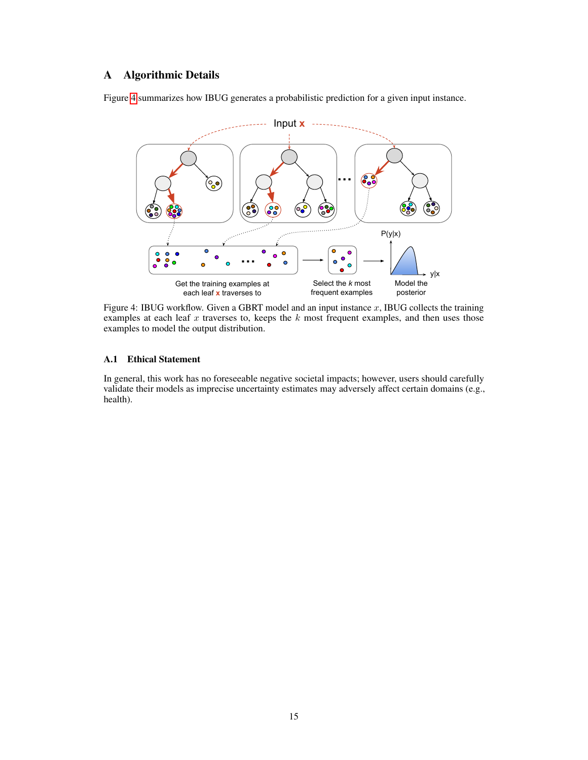# A Algorithmic Details

<span id="page-14-1"></span>Figure [4](#page-14-1) summarizes how IBUG generates a probabilistic prediction for a given input instance.



Figure 4: IBUG workflow. Given a GBRT model and an input instance  $x$ , IBUG collects the training examples at each leaf x traverses to, keeps the  $k$  most frequent examples, and then uses those examples to model the output distribution.

## <span id="page-14-0"></span>A.1 Ethical Statement

In general, this work has no foreseeable negative societal impacts; however, users should carefully validate their models as imprecise uncertainty estimates may adversely affect certain domains (e.g., health).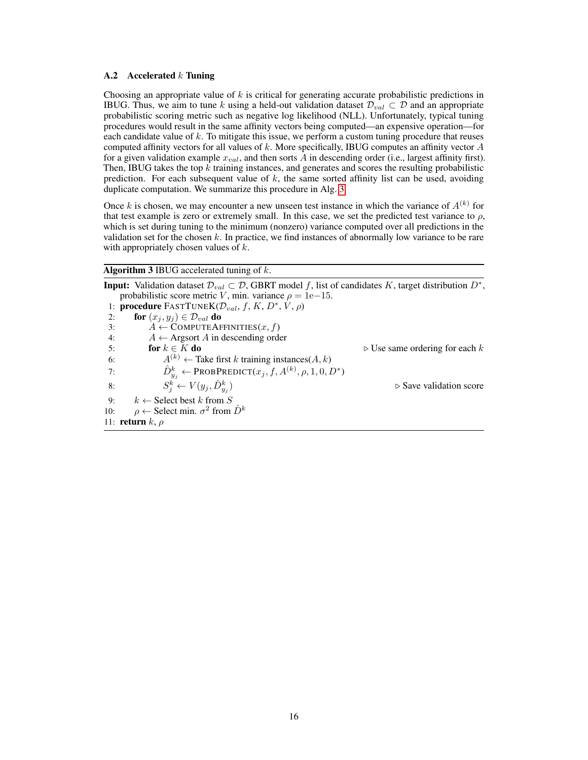#### A.2 Accelerated  $k$  Tuning

Choosing an appropriate value of  $k$  is critical for generating accurate probabilistic predictions in IBUG. Thus, we aim to tune k using a held-out validation dataset  $\mathcal{D}_{val} \subset \mathcal{D}$  and an appropriate probabilistic scoring metric such as negative log likelihood (NLL). Unfortunately, typical tuning procedures would result in the same affinity vectors being computed—an expensive operation—for each candidate value of k. To mitigate this issue, we perform a custom tuning procedure that reuses computed affinity vectors for all values of  $k$ . More specifically, IBUG computes an affinity vector  $A$ for a given validation example  $x_{val}$ , and then sorts  $\overline{A}$  in descending order (i.e., largest affinity first). Then, IBUG takes the top  $k$  training instances, and generates and scores the resulting probabilistic prediction. For each subsequent value of  $k$ , the same sorted affinity list can be used, avoiding duplicate computation. We summarize this procedure in Alg. [3.](#page-15-0)

Once k is chosen, we may encounter a new unseen test instance in which the variance of  $A^{(k)}$  for that test example is zero or extremely small. In this case, we set the predicted test variance to  $\rho$ , which is set during tuning to the minimum (nonzero) variance computed over all predictions in the validation set for the chosen  $k$ . In practice, we find instances of abnormally low variance to be rare with appropriately chosen values of  $k$ .

## <span id="page-15-0"></span>Algorithm 3 IBUG accelerated tuning of  $k$ .

**Input:** Validation dataset  $\mathcal{D}_{val} \subset \mathcal{D}$ , GBRT model f, list of candidates K, target distribution  $D^*$ , probabilistic score metric V, min. variance  $\rho = 1e-15$ . 1: **procedure** FASTTUNE $K(\mathcal{D}_{val}, f, K, D^*, V, \rho)$ 2: **for**  $(x_j, y_j) \in \mathcal{D}_{val}$  **do**<br>3:  $A \leftarrow \text{COMPUTEAF}$ 3:  $A \leftarrow \text{COMPUTEAFFINITIES}(x, f)$ <br>4:  $A \leftarrow \text{Argsort } A$  in descending order 4:  $A \leftarrow$  Argsort A in descending order<br>5: **for**  $k \in K$  **do**  $\triangleright$  Use same ordering for each k 6:  $A^{(k)} \leftarrow$  Take first k training instances(A, k) 7:  $\hat{D}_{y_j}^k \leftarrow \text{PROBPREDICT}(x_j, f, A^{(k)}, \rho, 1, 0, D^*)$ 8:  $S_j^k \leftarrow V(y_j, \hat{D}_{y_j}^k)$  $\triangleright$  Save validation score 9:  $k \leftarrow$  Select best k from S 10:  $\rho \leftarrow$  Select min.  $\sigma^2$  from  $\hat{D}^k$ 11: **return**  $k, \rho$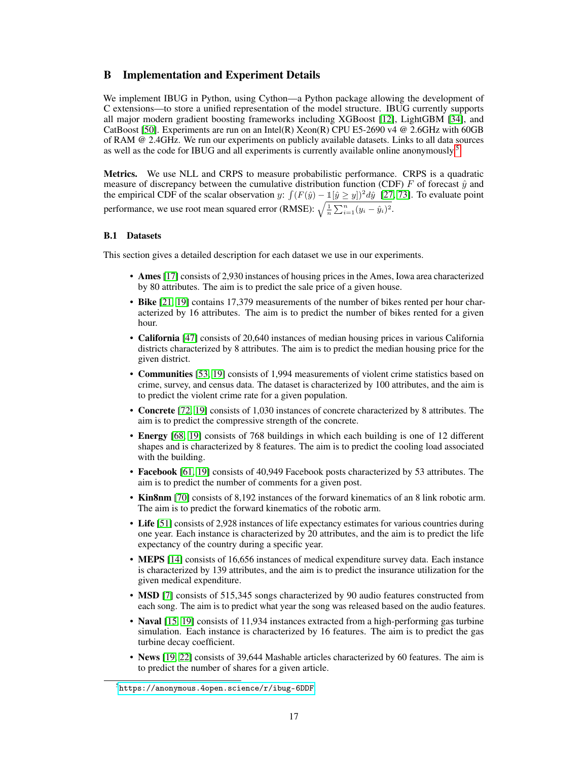# <span id="page-16-1"></span>B Implementation and Experiment Details

We implement IBUG in Python, using Cython—a Python package allowing the development of C extensions—to store a unified representation of the model structure. IBUG currently supports all major modern gradient boosting frameworks including XGBoost [\[12\]](#page-9-6), LightGBM [\[34\]](#page-10-5), and CatBoost [\[50\]](#page-11-0). Experiments are run on an Intel(R) Xeon(R) CPU E5-2690 v4  $@$  2.6GHz with 60GB of RAM @ 2.4GHz. We run our experiments on publicly available datasets. Links to all data sources as well as the code for IBUG and all experiments is currently available online anonymously.[5](#page-16-2)

Metrics. We use NLL and CRPS to measure probabilistic performance. CRPS is a quadratic measure of discrepancy between the cumulative distribution function (CDF) F of forecast  $\hat{y}$  and the empirical CDF of the scalar observation y:  $\int (F(\hat{y}) - \mathbb{1}[\hat{y} \ge y])^2 d\hat{y}$  [\[27,](#page-10-2) [73\]](#page-12-4). To evaluate point performance, we use root mean squared error (RMSE):  $\sqrt{\frac{1}{n} \sum_{i=1}^{n} (y_i - \hat{y}_i)^2}$ .

### <span id="page-16-0"></span>B.1 Datasets

This section gives a detailed description for each dataset we use in our experiments.

- Ames [\[17\]](#page-9-11) consists of 2,930 instances of housing prices in the Ames, Iowa area characterized by 80 attributes. The aim is to predict the sale price of a given house.
- Bike [\[21,](#page-10-14) [19\]](#page-9-12) contains 17,379 measurements of the number of bikes rented per hour characterized by 16 attributes. The aim is to predict the number of bikes rented for a given hour.
- California [\[47\]](#page-11-15) consists of 20,640 instances of median housing prices in various California districts characterized by 8 attributes. The aim is to predict the median housing price for the given district.
- Communities [\[53,](#page-11-16) [19\]](#page-9-12) consists of 1,994 measurements of violent crime statistics based on crime, survey, and census data. The dataset is characterized by 100 attributes, and the aim is to predict the violent crime rate for a given population.
- Concrete [\[72,](#page-12-9) [19\]](#page-9-12) consists of 1,030 instances of concrete characterized by 8 attributes. The aim is to predict the compressive strength of the concrete.
- Energy [\[68,](#page-12-10) [19\]](#page-9-12) consists of 768 buildings in which each building is one of 12 different shapes and is characterized by 8 features. The aim is to predict the cooling load associated with the building.
- Facebook [\[61,](#page-12-11) [19\]](#page-9-12) consists of 40,949 Facebook posts characterized by 53 attributes. The aim is to predict the number of comments for a given post.
- Kin8nm [\[70\]](#page-12-12) consists of 8,192 instances of the forward kinematics of an 8 link robotic arm. The aim is to predict the forward kinematics of the robotic arm.
- Life [\[51\]](#page-11-17) consists of 2,928 instances of life expectancy estimates for various countries during one year. Each instance is characterized by 20 attributes, and the aim is to predict the life expectancy of the country during a specific year.
- MEPS [\[14\]](#page-9-13) consists of 16,656 instances of medical expenditure survey data. Each instance is characterized by 139 attributes, and the aim is to predict the insurance utilization for the given medical expenditure.
- MSD [\[7\]](#page-9-14) consists of 515,345 songs characterized by 90 audio features constructed from each song. The aim is to predict what year the song was released based on the audio features.
- Naval [\[15,](#page-9-15) [19\]](#page-9-12) consists of 11,934 instances extracted from a high-performing gas turbine simulation. Each instance is characterized by 16 features. The aim is to predict the gas turbine decay coefficient.
- News [\[19,](#page-9-12) [22\]](#page-10-15) consists of 39,644 Mashable articles characterized by 60 features. The aim is to predict the number of shares for a given article.

<span id="page-16-2"></span> $^5$ <https://anonymous.4open.science/r/ibug-6DDF>.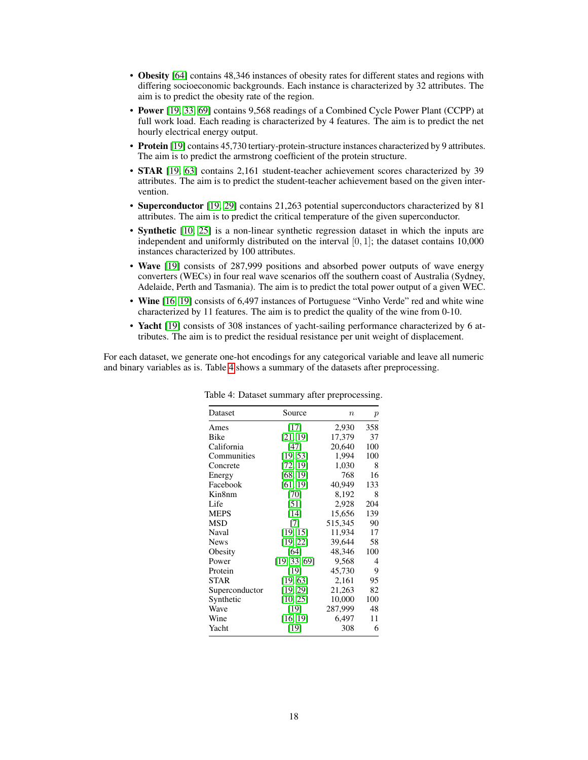- Obesity [\[64\]](#page-12-13) contains 48,346 instances of obesity rates for different states and regions with differing socioeconomic backgrounds. Each instance is characterized by 32 attributes. The aim is to predict the obesity rate of the region.
- Power [\[19,](#page-9-12) [33,](#page-10-16) [69\]](#page-12-14) contains 9,568 readings of a Combined Cycle Power Plant (CCPP) at full work load. Each reading is characterized by 4 features. The aim is to predict the net hourly electrical energy output.
- Protein [\[19\]](#page-9-12) contains 45,730 tertiary-protein-structure instances characterized by 9 attributes. The aim is to predict the armstrong coefficient of the protein structure.
- STAR [\[19,](#page-9-12) [63\]](#page-12-15) contains 2,161 student-teacher achievement scores characterized by 39 attributes. The aim is to predict the student-teacher achievement based on the given intervention.
- Superconductor [\[19,](#page-9-12) [29\]](#page-10-17) contains 21,263 potential superconductors characterized by 81 attributes. The aim is to predict the critical temperature of the given superconductor.
- **Synthetic** [\[10,](#page-9-16) [25\]](#page-10-18) is a non-linear synthetic regression dataset in which the inputs are independent and uniformly distributed on the interval  $[0, 1]$ ; the dataset contains 10,000 instances characterized by 100 attributes.
- Wave [\[19\]](#page-9-12) consists of 287,999 positions and absorbed power outputs of wave energy converters (WECs) in four real wave scenarios off the southern coast of Australia (Sydney, Adelaide, Perth and Tasmania). The aim is to predict the total power output of a given WEC.
- Wine [\[16,](#page-9-17) [19\]](#page-9-12) consists of 6,497 instances of Portuguese "Vinho Verde" red and white wine characterized by 11 features. The aim is to predict the quality of the wine from 0-10.
- Yacht [\[19\]](#page-9-12) consists of 308 instances of yacht-sailing performance characterized by 6 attributes. The aim is to predict the residual resistance per unit weight of displacement.

<span id="page-17-0"></span>For each dataset, we generate one-hot encodings for any categorical variable and leave all numeric and binary variables as is. Table [4](#page-17-0) shows a summary of the datasets after preprocessing.

| Dataset        | Source       | $\boldsymbol{n}$ | $\boldsymbol{p}$ |
|----------------|--------------|------------------|------------------|
| Ames           | $[17]$       | 2,930            | 358              |
| Bike           | [21, 19]     | 17,379           | 37               |
| California     | $[47]$       | 20,640           | 100              |
| Communities    | [19, 53]     | 1,994            | 100              |
| Concrete       | [72, 19]     | 1,030            | 8                |
| Energy         | [68, 19]     | 768              | 16               |
| Facebook       | [61, 19]     | 40,949           | 133              |
| Kin8nm         | [70]         | 8,192            | 8                |
| Life           | [51]         | 2,928            | 204              |
| <b>MEPS</b>    | [14]         | 15,656           | 139              |
| <b>MSD</b>     | [7]          | 515,345          | 90               |
| Naval          | [19, 15]     | 11,934           | 17               |
| <b>News</b>    | [19, 22]     | 39,644           | 58               |
| Obesity        | [64]         | 48,346           | 100              |
| Power          | [19, 33, 69] | 9,568            | 4                |
| Protein        | [19]         | 45,730           | 9                |
| <b>STAR</b>    | [19, 63]     | 2,161            | 95               |
| Superconductor | [19, 29]     | 21,263           | 82               |
| Synthetic      | [10, 25]     | 10,000           | 100              |
| Wave           | [19]         | 287,999          | 48               |
| Wine           | [16, 19]     | 6,497            | 11               |
| Yacht          | [19]         | 308              | 6                |

|  |  | Table 4: Dataset summary after preprocessing. |  |
|--|--|-----------------------------------------------|--|
|  |  |                                               |  |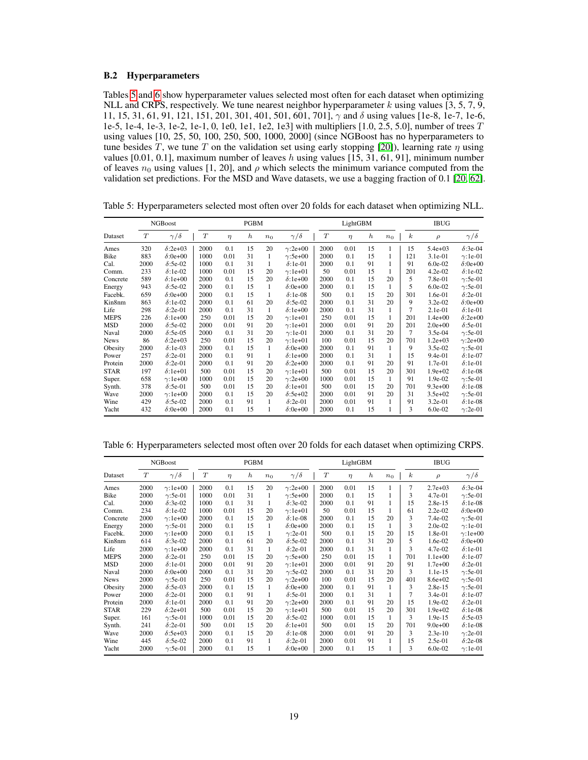## <span id="page-18-0"></span>B.2 Hyperparameters

Tables [5](#page-18-1) and [6](#page-18-2) show hyperparameter values selected most often for each dataset when optimizing NLL and CRPS, respectively. We tune nearest neighbor hyperparameter k using values  $[3, 5, 7, 9, 6]$ 11, 15, 31, 61, 91, 121, 151, 201, 301, 401, 501, 601, 701],  $\gamma$  and  $\delta$  using values [1e-8, 1e-7, 1e-6, 1e-5, 1e-4, 1e-3, 1e-2, 1e-1, 0, 1e0, 1e1, 1e2, 1e3] with multipliers [1.0, 2.5, 5.0], number of trees T using values [10, 25, 50, 100, 250, 500, 1000, 2000] (since NGBoost has no hyperparameters to tune besides T, we tune T on the validation set using early stopping [\[20\]](#page-9-2)), learning rate  $\eta$  using values [0.01, 0.1], maximum number of leaves h using values  $[15, 31, 61, 91]$ , minimum number of leaves  $n_0$  using values [1, 20], and  $\rho$  which selects the minimum variance computed from the validation set predictions. For the MSD and Wave datasets, we use a bagging fraction of 0.1 [\[20,](#page-9-2) [62\]](#page-12-2).

|             |      | NGBoost         |      |        | <b>PGBM</b>      |                |                 |      | LightGBM |                  |                |                  | <b>IBUG</b> |                 |
|-------------|------|-----------------|------|--------|------------------|----------------|-----------------|------|----------|------------------|----------------|------------------|-------------|-----------------|
| Dataset     | T    | $\gamma/\delta$ | T    | $\eta$ | $\boldsymbol{h}$ | n <sub>0</sub> | $\gamma/\delta$ | T    | $\eta$   | $\boldsymbol{h}$ | n <sub>0</sub> | $\boldsymbol{k}$ | $\rho$      | $\gamma/\delta$ |
| Ames        | 320  | $\delta$ :2e+03 | 2000 | 0.1    | 15               | 20             | $\gamma$ :2e+00 | 2000 | 0.01     | 15               | 1              | 15               | $5.4e + 03$ | $\delta$ :3e-04 |
| Bike        | 883  | $\delta$ :0e+00 | 1000 | 0.01   | 31               | 1              | $\gamma$ :5e+00 | 2000 | 0.1      | 15               | 1              | 121              | 3.1e-01     | $\gamma$ :1e-01 |
| Cal.        | 2000 | $\delta$ :5e-02 | 1000 | 0.1    | 31               |                | $\delta$ :1e-01 | 2000 | 0.1      | 91               | 1              | 91               | $6.0e-02$   | $\delta$ :0e+00 |
| Comm.       | 233  | $\delta$ :1e-02 | 1000 | 0.01   | 15               | 20             | $\gamma$ :1e+01 | 50   | 0.01     | 15               | 1              | 201              | $4.2e-02$   | $\delta$ :1e-02 |
| Concrete    | 589  | $\delta$ :1e+00 | 2000 | 0.1    | 15               | 20             | $\delta$ :1e+00 | 2000 | 0.1      | 15               | 20             | 5                | 7.8e-01     | $\gamma$ :5e-01 |
| Energy      | 943  | $\delta$ :5e-02 | 2000 | 0.1    | 15               | 1              | $\delta$ :0e+00 | 2000 | 0.1      | 15               | $\mathbf{1}$   | 5                | $6.0e-02$   | $\gamma$ :5e-01 |
| Facebk.     | 659  | $\delta$ :0e+00 | 2000 | 0.1    | 15               | 1              | $\delta$ :1e-08 | 500  | 0.1      | 15               | 20             | 301              | 1.6e-01     | $\delta$ :2e-01 |
| Kin8nm      | 863  | $\delta$ :1e-02 | 2000 | 0.1    | 61               | 20             | $\delta$ :5e-02 | 2000 | 0.1      | 31               | 20             | 9                | 3.2e-02     | $\delta$ :0e+00 |
| Life        | 298  | $\delta$ :2e-01 | 2000 | 0.1    | 31               | 1              | $\delta$ :1e+00 | 2000 | 0.1      | 31               | 1              | 7                | 2.1e-01     | $\delta$ :1e-01 |
| <b>MEPS</b> | 226  | $\delta$ :1e+00 | 250  | 0.01   | 15               | 20             | $\gamma$ :1e+01 | 250  | 0.01     | 15               | 1              | 201              | $1.4e+00$   | $\delta$ :2e+00 |
| <b>MSD</b>  | 2000 | $\delta$ :5e-02 | 2000 | 0.01   | 91               | 20             | $\gamma$ :1e+01 | 2000 | 0.01     | 91               | 20             | 201              | $2.0e + 00$ | $\delta$ :5e-01 |
| Naval       | 2000 | $\delta$ :5e-05 | 2000 | 0.1    | 31               | 20             | $\gamma$ :1e-01 | 2000 | 0.1      | 31               | 20             | $\overline{7}$   | $3.5e-04$   | $\gamma$ :5e-01 |
| <b>News</b> | 86   | $\delta$ :2e+03 | 250  | 0.01   | 15               | 20             | $\gamma$ :1e+01 | 100  | 0.01     | 15               | 20             | 701              | $1.2e+03$   | $\gamma$ :2e+00 |
| Obesity     | 2000 | $\delta$ :1e-03 | 2000 | 0.1    | 15               | 1              | $\delta$ :0e+00 | 2000 | 0.1      | 91               | 1              | 9                | $3.5e-02$   | $\gamma$ :5e-01 |
| Power       | 257  | $\delta$ :2e-01 | 2000 | 0.1    | 91               |                | $\delta$ :1e+00 | 2000 | 0.1      | 31               | 1              | 15               | $9.4e-01$   | $\delta$ :1e-07 |
| Protein     | 2000 | $\delta$ :2e-01 | 2000 | 0.1    | 91               | 20             | $\delta$ :2e+00 | 2000 | 0.1      | 91               | 20             | 91               | 1.7e-01     | $\delta$ :1e-01 |
| <b>STAR</b> | 197  | $\delta$ :1e+01 | 500  | 0.01   | 15               | 20             | $\gamma$ :1e+01 | 500  | 0.01     | 15               | 20             | 301              | $1.9e + 02$ | $\delta$ :1e-08 |
| Super.      | 658  | $\gamma$ :1e+00 | 1000 | 0.01   | 15               | 20             | $\gamma$ :2e+00 | 1000 | 0.01     | 15               | 1              | 91               | 1.9e-02     | $\gamma$ :5e-01 |
| Synth.      | 378  | $\delta$ :5e-01 | 500  | 0.01   | 15               | 20             | $\delta$ :1e+01 | 500  | 0.01     | 15               | 20             | 701              | $9.3e+00$   | $\delta$ :1e-08 |
| Wave        | 2000 | $\gamma$ :1e+00 | 2000 | 0.1    | 15               | 20             | $\delta$ :5e+02 | 2000 | 0.01     | 91               | 20             | 31               | $3.5e + 02$ | $\gamma$ :5e-01 |
| Wine        | 429  | $\delta$ :5e-02 | 2000 | 0.1    | 91               | 1              | $\delta$ :2e-01 | 2000 | 0.01     | 91               | 1              | 91               | $3.2e-01$   | $\delta$ :1e-08 |
| Yacht       | 432  | $\delta$ :0e+00 | 2000 | 0.1    | 15               | 1              | $\delta$ :0e+00 | 2000 | 0.1      | 15               | 1              | 3                | $6.0e-02$   | $\gamma$ :2e-01 |

<span id="page-18-1"></span>Table 5: Hyperparameters selected most often over 20 folds for each dataset when optimizing NLL.

<span id="page-18-2"></span>Table 6: Hyperparameters selected most often over 20 folds for each dataset when optimizing CRPS.

|             |      | <b>NGBoost</b>  |                  |        | <b>PGBM</b>      |                |                 |      | LightGBM |                  |              |                  | <b>IBUG</b> |                 |
|-------------|------|-----------------|------------------|--------|------------------|----------------|-----------------|------|----------|------------------|--------------|------------------|-------------|-----------------|
| Dataset     | T    | $\gamma/\delta$ | $\boldsymbol{T}$ | $\eta$ | $\boldsymbol{h}$ | n <sub>0</sub> | $\gamma/\delta$ | T    | $\eta$   | $\boldsymbol{h}$ | $n_0$        | $\boldsymbol{k}$ | $\rho$      | $\gamma/\delta$ |
| Ames        | 2000 | $\gamma$ :1e+00 | 2000             | 0.1    | 15               | 20             | $\gamma$ :2e+00 | 2000 | 0.01     | 15               | 1            | $\overline{7}$   | $2.7e+03$   | $\delta$ :3e-04 |
| Bike        | 2000 | $\gamma$ :5e-01 | 1000             | 0.01   | 31               | 1              | $\gamma$ :5e+00 | 2000 | 0.1      | 15               | 1            | 3                | $4.7e-01$   | $\gamma$ :5e-01 |
| Cal.        | 2000 | $\delta$ :3e-02 | 1000             | 0.1    | 31               | 1              | $\delta$ :3e-02 | 2000 | 0.1      | 91               | 1            | 15               | 2.8e-15     | $\delta$ :1e-08 |
| Comm.       | 234  | $\delta$ :1e-02 | 1000             | 0.01   | 15               | 20             | $\gamma$ :1e+01 | 50   | 0.01     | 15               | 1            | 61               | 2.2e-02     | $\delta$ :0e+00 |
| Concrete    | 2000 | $\gamma$ :1e+00 | 2000             | 0.1    | 15               | 20             | $\delta$ :1e-08 | 2000 | 0.1      | 15               | 20           | 3                | 7.4e-02     | $\gamma$ :5e-01 |
| Energy      | 2000 | $\gamma$ :5e-01 | 2000             | 0.1    | 15               | -1             | $\delta$ :0e+00 | 2000 | 0.1      | 15               | 1            | 3                | $2.0e-02$   | $\gamma$ :1e-01 |
| Facebk.     | 2000 | $\gamma$ :1e+00 | 2000             | 0.1    | 15               | 1              | $\gamma$ :2e-01 | 500  | 0.1      | 15               | 20           | 15               | 1.8e-01     | $\gamma$ :1e+00 |
| Kin8nm      | 614  | $\delta$ :3e-02 | 2000             | 0.1    | 61               | 20             | $\delta$ :5e-02 | 2000 | 0.1      | 31               | 20           | 5                | 1.6e-02     | $\delta$ :0e+00 |
| Life        | 2000 | $\gamma$ :1e+00 | 2000             | 0.1    | 31               | 1              | $\delta$ :2e-01 | 2000 | 0.1      | 31               | 1            | 3                | 4.7e-02     | $\delta$ :1e-01 |
| <b>MEPS</b> | 2000 | $\delta$ :2e-01 | 250              | 0.01   | 15               | 20             | $\gamma$ :5e+00 | 250  | 0.01     | 15               | 1            | 701              | $1.1e+00$   | $\delta$ :1e-07 |
| <b>MSD</b>  | 2000 | $\delta$ :1e-01 | 2000             | 0.01   | 91               | 20             | $\gamma$ :1e+01 | 2000 | 0.01     | 91               | 20           | 91               | $1.7e + 00$ | $\delta$ :2e-01 |
| Naval       | 2000 | $\delta$ :0e+00 | 2000             | 0.1    | 31               | 20             | $\gamma$ :5e-02 | 2000 | 0.1      | 31               | 20           | 3                | 1.1e-15     | $\gamma$ :5e-01 |
| <b>News</b> | 2000 | $\gamma$ :5e-01 | 250              | 0.01   | 15               | 20             | $\gamma$ :2e+00 | 100  | 0.01     | 15               | 20           | 401              | $8.6e + 02$ | $\gamma$ :5e-01 |
| Obesity     | 2000 | $\delta$ :5e-03 | 2000             | 0.1    | 15               | 1              | $\delta$ :0e+00 | 2000 | 0.1      | 91               | 1            | 3                | 2.8e-15     | $\gamma$ :5e-01 |
| Power       | 2000 | $\delta$ :2e-01 | 2000             | 0.1    | 91               | 1              | $\delta$ :5e-01 | 2000 | 0.1      | 31               | 1            | 7                | $3.4e-01$   | $\delta$ :1e-07 |
| Protein     | 2000 | $\delta$ :1e-01 | 2000             | 0.1    | 91               | 20             | $\gamma$ :2e+00 | 2000 | 0.1      | 91               | 20           | 15               | $1.9e-02$   | $\delta$ :2e-01 |
| <b>STAR</b> | 229  | $\delta$ :2e+01 | 500              | 0.01   | 15               | 20             | $\gamma$ :1e+01 | 500  | 0.01     | 15               | 20           | 301              | $1.9e + 02$ | $\delta$ :1e-08 |
| Super.      | 161  | $\gamma$ :5e-01 | 1000             | 0.01   | 15               | 20             | $\delta$ :5e-02 | 1000 | 0.01     | 15               | 1            | 3                | 1.9e-15     | $\delta$ :5e-03 |
| Synth.      | 241  | $\delta$ :2e-01 | 500              | 0.01   | 15               | 20             | $\delta$ :1e+01 | 500  | 0.01     | 15               | 20           | 701              | $9.0e + 00$ | $\delta$ :1e-08 |
| Wave        | 2000 | $\delta$ :5e+03 | 2000             | 0.1    | 15               | 20             | $\delta$ :1e-08 | 2000 | 0.01     | 91               | 20           | 3                | $2.3e-10$   | $\gamma$ :2e-01 |
| Wine        | 445  | $\delta$ :5e-02 | 2000             | 0.1    | 91               | 1              | $\delta$ :2e-01 | 2000 | 0.01     | 91               | $\mathbf{1}$ | 15               | $2.5e-01$   | $\delta$ :2e-08 |
| Yacht       | 2000 | $\gamma$ :5e-01 | 2000             | 0.1    | 15               | 1              | $\delta$ :0e+00 | 2000 | 0.1      | 15               | 1            | 3                | 6.0e-02     | $\gamma$ :1e-01 |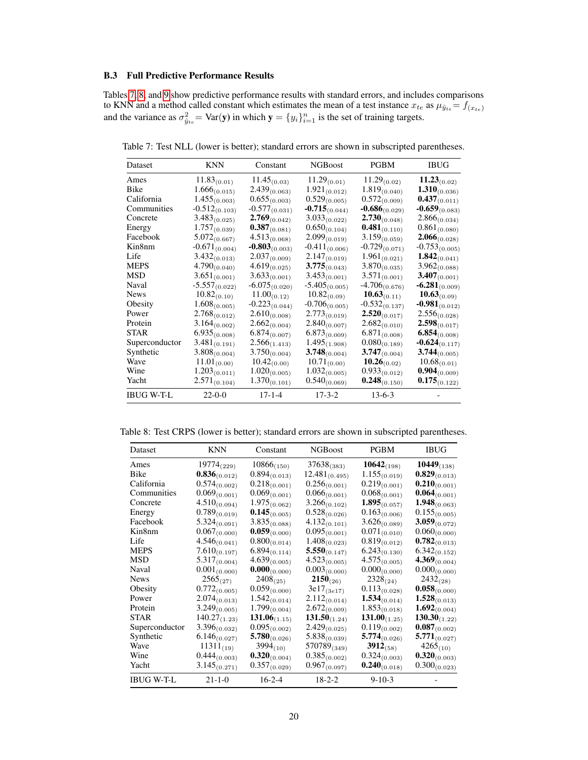#### <span id="page-19-0"></span>B.3 Full Predictive Performance Results

Tables [7,](#page-19-1) [8,](#page-19-2) and [9](#page-20-0) show predictive performance results with standard errors, and includes comparisons to KNN and a method called constant which estimates the mean of a test instance  $x_{te}$  as  $\mu_{\hat{y}_{te}} = f_{(x_{te})}$ and the variance as  $\sigma_{\hat{y}_{te}}^2 = \text{Var}(y)$  in which  $y = \{y_i\}_{i=1}^n$  is the set of training targets.

Dataset KNN Constant NGBoost PGBM IBUG Ames  $11.83_{(0.01)}$   $11.45_{(0.03)}$   $11.29_{(0.01)}$   $11.29_{(0.02)}$   $11.23_{(0.02)}$ <br>Bike  $1.666_{(0.015)}$   $2.439_{(0.063)}$   $1.921_{(0.012)}$   $1.819_{(0.040)}$   $1.310_{(0.036)}$ Bike 1.666(0.015)  $2.439_{(0.063)}$   $1.921_{(0.012)}$   $1.819_{(0.040)}$ <br>California  $1.455_{(0.003)}$   $0.655_{(0.003)}$   $0.529_{(0.005)}$   $0.572_{(0.009)}$ California 1.455<sub>(0.003)</sub> 0.655<sub>(0.003)</sub> 0.529<sub>(0.005)</sub> 0.572<sub>(0.009)</sub> 0.437<sub>(0.011)</sub><br>Communities -0.512<sub>(0.103)</sub> -0.577<sub>(0.031)</sub> -0.715<sub>(0.044)</sub> -0.686<sub>(0.029)</sub> -0.659<sub>(0.083)</sub> Communities  $-0.512_{(0.103)}$   $-0.577_{(0.031)}$   $-0.715_{(0.044)}$   $-0.686_{(0.029)}$   $-0.659_{(0.083)}$ <br>Concrete  $3.483_{(0.025)}$   $2.769_{(0.042)}$   $3.033_{(0.022)}$   $2.730_{(0.048)}$   $2.866_{(0.034)}$ Concrete  $3.483_{(0.025)}$   $2.769_{(0.042)}$   $3.033_{(0.022)}$   $2.730_{(0.048)}$   $2.866_{(0.034)}$ <br>Energy  $1.757_{(0.039)}$   $0.387_{(0.081)}$   $0.650_{(0.104)}$   $0.481_{(0.110)}$   $0.861_{(0.080)}$ **0.481**(0.110) 0.861(0.080)<br>3.159<sub>(0.059)</sub> **2.066**(0.028) Facebook 5.072<sub>(0.667)</sub> 4.513<sub>(0.068)</sub> 2.099<sub>(0.019)</sub> 3.159<sub>(0.059)</sub> 2.066<sub>(0.028)</sub><br>Kin8nm -0.671<sub>(0.004)</sub> -0.803<sub>(0.003)</sub> -0.411<sub>(0.006)</sub> -0.729<sub>(0.071)</sub> -0.753<sub>(0.005)</sub> **-0.803**(0.003) -0.411(0.006) -0.729(0.071) -0.753(0.005)<br>2.037(0.009) 2.147(0.019) 1.961(0.021) **1.842**(0.041) Life  $3.432_{(0.013)}^{(0.021)}$   $2.037_{(0.009)}^{(0.010)}$   $2.147_{(0.019)}^{(0.019)}$   $1.961_{(0.021)}$   $1.842_{(0.041)}$ <br>MEPS  $4.790_{(0.040)}$   $4.619_{(0.025)}^{(0.045)}$   $3.775_{(0.043)}^{(0.019)}$   $3.870_{(0.035)}^{(0.035)}$   $3.962_{(0.088)}^{(0.0$  $3.775_{(0.043)}$ MSD  $3.651_{(0.001)}$   $3.633_{(0.001)}$   $3.453_{(0.001)}$   $3.571_{(0.001)}$   $3.407_{(0.001)}$ <br>Naval  $-5.557_{(0.022)}$   $-6.075_{(0.020)}$   $-5.405_{(0.005)}$   $-4.706_{(0.676)}$   $-6.281_{(0.009)}$ Naval  $-5.557_{(0.022)}$   $-6.075_{(0.020)}$   $-5.405_{(0.005)}$   $-4.706_{(0.676)}$   $-6.281_{(0.009)}$ <br>News  $10.82_{(0.10)}$   $11.00_{(0.12)}$   $10.82_{(0.09)}$   $10.63_{(0.11)}$   $10.63_{(0.09)}$  $\frac{10.82_{(0.10)}}{1.608_{(0.005)}}$   $\frac{11.00_{(0.12)}}{0.223_{(0.044)}}$   $\frac{10.82_{(0.09)}}{0.706_{(0.005)}}$   $\frac{10.63_{(0.11)}}{0.137}$   $\frac{10.63_{(0.09)}}{0.981_{(0.012)}}$ Obesity 1.608<sub>(0.005)</sub> -0.223<sub>(0.044)</sub> -0.706<sub>(0.005)</sub> -0.532<sub>(0.137)</sub> -0.981<sub>(0.012)</sub><br>Power 2.768<sub>(0.012)</sub> 2.610<sub>(0.008)</sub> 2.773<sub>(0.019</sub>) **2.520**<sub>(0.017)</sub> 2.556<sub>(0.028)</sub> Power 2.768<sub>(0.012)</sub> 2.610<sub>(0.008)</sub> 2.773<sub>(0.019)</sub> 2.520<sub>(0.017)</sub> 2.556<sub>(0.028)</sub><br>Protein 3.164<sub>(0.002)</sub> 2.662<sub>(0.004)</sub> 2.840<sub>(0.007)</sub> 2.682<sub>(0.010)</sub> 2.598<sub>(0.017)</sub> Protein  $3.164_{(0.002)}$   $2.662_{(0.004)}$   $2.840_{(0.007)}$   $2.682_{(0.010)}$ <br>  $5TAR$   $6.935_{(0.008)}$   $6.874_{(0.007)}$   $6.873_{(0.009)}$   $6.871_{(0.008)}$  $\frac{6.874_{(0.007)}}{2.566_{(1.413)}}$   $\frac{6.873_{(0.009)}}{1.495_{(1.908)}}$   $\frac{6.871_{(0.008)}}{0.080_{(0.189)}}$  **6.854**<sub>(0.008)</sub> Superconductor  $3.481_{(0.191)}$   $2.566_{(1.413)}$   $1.495_{(1.908)}$   $0.080_{(0.189)}$   $-0.624_{(0.117)}$ <br>Synthetic  $3.808_{(0.004)}$   $3.750_{(0.004)}$   $3.748_{(0.004)}$   $3.747_{(0.004)}$   $3.747_{(0.004)}$  $3.747_{(0.004)}$   $10.26_{(0.02)}$ Wave  $\begin{array}{cccc} 11.01_{(0.00)} & 10.42_{(0.00)} & 10.71_{(0.00)} & 10.26_{(0.02)} & 10.68_{(0.01)} \\ \text{Wine} & 1.203_{(0.011)} & 1.020_{(0.005)} & 1.032_{(0.005)} & 0.933_{(0.012)} & 0.904_{(0.009)} \end{array}$ Wine  $\begin{array}{cccc} 1.203_{(0.011)} & 1.020_{(0.005)} & 1.032_{(0.005)} & 0.933_{(0.012)} & \textbf{0.904}_{(0.009)} \\ \text{Yacht} & 2.571_{(0.104)} & 1.370_{(0.101)} & 0.540_{(0.069)} & \textbf{0.248}_{(0.150)} & \textbf{0.175}_{(0.122)} \end{array}$  $\mathbf{0.248}_{(0.150)}$ IBUG W-T-L 22-0-0 17-1-4 17-3-2 13-6-3 -

<span id="page-19-1"></span>Table 7: Test NLL (lower is better); standard errors are shown in subscripted parentheses.

<span id="page-19-2"></span>Table 8: Test CRPS (lower is better); standard errors are shown in subscripted parentheses.

| Dataset           | <b>KNN</b>        | Constant          | <b>NGBoost</b>     | <b>PGBM</b>        | <b>IBUG</b>            |
|-------------------|-------------------|-------------------|--------------------|--------------------|------------------------|
| Ames              | $19774_{(229)}$   | $10866_{(150)}$   | $37638_{(383)}$    | $10642_{(198)}$    | 10449 <sub>(138)</sub> |
| Bike              | $0.836_{(0.012)}$ | $0.894_{(0.013)}$ | $12.481_{(0.495)}$ | $1.155_{(0.019)}$  | $0.829_{(0.013)}$      |
| California        | $0.574_{(0.002)}$ | $0.218_{(0.001)}$ | $0.256_{(0.001)}$  | $0.219_{(0.001)}$  | $0.210_{(0.001)}$      |
| Communities       | $0.069_{(0.001)}$ | $0.069_{(0.001)}$ | $0.066_{(0.001)}$  | $0.068_{(0.001)}$  | $0.064_{(0.001)}$      |
| Concrete          | $4.510_{(0.094)}$ | $1.975_{(0.062)}$ | $3.266_{(0.102)}$  | $1.895_{(0.057)}$  | $1.948_{(0.063)}$      |
| Energy            | $0.789_{(0.019)}$ | $0.145_{(0.005)}$ | $0.528_{(0.026)}$  | $0.163_{(0.006)}$  | $0.155_{(0.005)}$      |
| Facebook          | $5.324_{(0.091)}$ | $3.835_{(0.088)}$ | $4.132_{(0.101)}$  | $3.626_{(0.089)}$  | $3.059_{(0.072)}$      |
| Kin8nm            | $0.067_{(0.000)}$ | $0.059_{(0.000)}$ | $0.095_{(0.001)}$  | $0.071_{(0.010)}$  | $0.060_{(0.000)}$      |
| Life              | $4.546_{(0.041)}$ | $0.800_{(0.014)}$ | $1.408_{(0.023)}$  | $0.819_{(0.012)}$  | $0.782_{(0.013)}$      |
| <b>MEPS</b>       | $7.610_{(0.197)}$ | $6.894_{(0.114)}$ | $5.550_{(0.147)}$  | $6.243_{(0.130)}$  | $6.342_{(0.152)}$      |
| <b>MSD</b>        | $5.317_{(0.004)}$ | $4.639_{(0.005)}$ | $4.523_{(0.005)}$  | $4.575_{(0.005)}$  | $4.369_{(0.004)}$      |
| Naval             | $0.001_{(0.000)}$ | $0.000_{(0.000)}$ | $0.003_{(0.000)}$  | $0.000_{(0.000)}$  | $0.000_{(0.000)}$      |
| <b>News</b>       | $2565_{(27)}$     | $2408_{(25)}$     | $2150_{(26)}$      | $2328_{(24)}$      | $2432_{(28)}$          |
| Obesity           | $0.772_{(0.005)}$ | $0.059_{(0.000)}$ | $3e17_{(3e17)}$    | $0.113_{(0.028)}$  | $0.058_{(0.000)}$      |
| Power             | $2.074_{(0.013)}$ | $1.542_{(0.014)}$ | $2.112_{(0.014)}$  | $1.534_{(0.014)}$  | $1.528_{(0.013)}$      |
| Protein           | $3.249_{(0.005)}$ | $1.799_{(0.004)}$ | $2.672_{(0.009)}$  | $1.853_{(0.018)}$  | $1.692_{(0.004)}$      |
| <b>STAR</b>       | $140.27_{(1.23)}$ | 131.06 $(1.15)$   | $131.50_{(1.24)}$  | $131.00_{(1.25)}$  | $130.30_{(1.22)}$      |
| Superconductor    | $3.396_{(0.032)}$ | $0.095_{(0.002)}$ | $2.429_{(0.025)}$  | $0.119_{(0.002)}$  | $0.087_{(0.002)}$      |
| Synthetic         | $6.146_{(0.027)}$ | $5.780_{(0.026)}$ | $5.838_{(0.039)}$  | 5.774 $_{(0.026)}$ | $5.771_{(0.027)}$      |
| Wave              | $11311_{(19)}$    | $3994_{(10)}$     | $570789_{(349)}$   | $3912_{(58)}$      | $4265_{(10)}$          |
| Wine              | $0.444_{(0.003)}$ | $0.320_{(0.004)}$ | $0.385_{(0.002)}$  | $0.324_{(0.003)}$  | $0.320_{(0.003)}$      |
| Yacht             | $3.145_{(0.271)}$ | $0.357_{(0.029)}$ | $0.967_{(0.097)}$  | $0.240_{(0.018)}$  | $0.300_{(0.023)}$      |
| <b>IBUG W-T-L</b> | $21 - 1 - 0$      | $16 - 2 - 4$      | $18 - 2 - 2$       | $9 - 10 - 3$       |                        |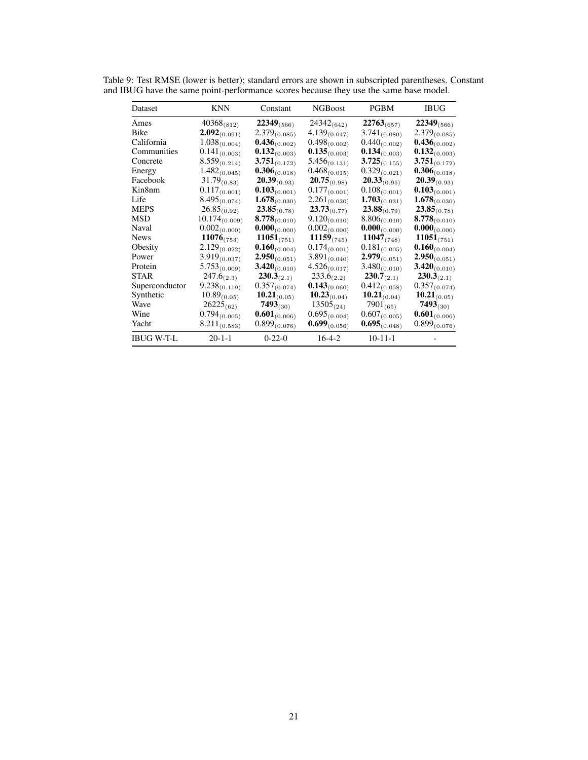| Dataset           | <b>KNN</b>         | Constant           | <b>NGB</b> oost   | <b>PGBM</b>       | <b>IBUG</b>       |
|-------------------|--------------------|--------------------|-------------------|-------------------|-------------------|
| Ames              | $40368_{(812)}$    | $22349_{(566)}$    | $24342_{(642)}$   | $22763_{(657)}$   | $22349_{(566)}$   |
| Bike              | $2.092_{(0.091)}$  | $2.379_{(0.085)}$  | $4.139_{(0.047)}$ | $3.741_{(0.080)}$ | $2.379_{(0.085)}$ |
| California        | $1.038_{(0.004)}$  | $0.436_{(0.002)}$  | $0.498_{(0.002)}$ | $0.440_{(0.002)}$ | $0.436_{(0.002)}$ |
| Communities       | $0.141_{(0.003)}$  | $0.132_{(0.003)}$  | $0.135_{(0.003)}$ | $0.134_{(0.003)}$ | $0.132_{(0.003)}$ |
| Concrete          | $8.559_{(0.214)}$  | $3.751_{(0.172)}$  | $5.456_{(0.131)}$ | $3.725_{(0.155)}$ | $3.751_{(0.172)}$ |
| Energy            | $1.482_{(0.045)}$  | $0.306_{(0.018)}$  | $0.468_{(0.015)}$ | $0.329_{(0.021)}$ | $0.306_{(0.018)}$ |
| Facebook          | $31.79_{(0.83)}$   | $20.39_{(0.93)}$   | $20.75_{(0.98)}$  | $20.33_{(0.95)}$  | $20.39_{(0.93)}$  |
| Kin8nm            | $0.117_{(0.001)}$  | $0.103_{(0.001)}$  | $0.177_{(0.001)}$ | $0.108_{(0.001)}$ | $0.103_{(0.001)}$ |
| Life              | $8.495_{(0.074)}$  | $1.678_{(0.030)}$  | $2.261_{(0.030)}$ | $1.703_{(0.031)}$ | $1.678_{(0.030)}$ |
| <b>MEPS</b>       | $26.85_{(0.92)}$   | $23.85_{(0.78)}$   | $23.73_{(0.77)}$  | $23.88_{(0.79)}$  | $23.85_{(0.78)}$  |
| <b>MSD</b>        | $10.174_{(0.009)}$ | 8.778 $_{(0.010)}$ | $9.120_{(0.010)}$ | $8.806_{(0.010)}$ | $8.778_{(0.010)}$ |
| Naval             | $0.002_{(0.000)}$  | $0.000_{(0.000)}$  | $0.002_{(0.000)}$ | $0.000_{(0.000)}$ | $0.000_{(0.000)}$ |
| <b>News</b>       | $11076_{(753)}$    | $11051_{(751)}$    | $11159_{(745)}$   | $11047_{(748)}$   | $11051_{(751)}$   |
| Obesity           | $2.129_{(0.022)}$  | $0.160_{(0.004)}$  | $0.174_{(0.001)}$ | $0.181_{(0.005)}$ | $0.160_{(0.004)}$ |
| Power             | $3.919_{(0.037)}$  | $2.950_{(0.051)}$  | $3.891_{(0.040)}$ | $2.979_{(0.051)}$ | $2.950_{(0.051)}$ |
| Protein           | $5.753_{(0.009)}$  | $3.420_{(0.010)}$  | $4.526_{(0.017)}$ | $3.480_{(0.010)}$ | $3.420_{(0.010)}$ |
| <b>STAR</b>       | $247.6_{(2.3)}$    | $230.3_{(2.1)}$    | $233.6_{(2.2)}$   | $230.7_{(2.1)}$   | $230.3_{(2.1)}$   |
| Superconductor    | $9.238_{(0.119)}$  | $0.357_{(0.074)}$  | $0.143_{(0.060)}$ | $0.412_{(0.058)}$ | $0.357_{(0.074)}$ |
| Synthetic         | $10.89_{(0.05)}$   | $10.21_{(0.05)}$   | $10.23_{(0.04)}$  | $10.21_{(0.04)}$  | $10.21_{(0.05)}$  |
| Wave              | $26225_{(62)}$     | $7493_{(30)}$      | $13505_{(24)}$    | $7901_{(65)}$     | $7493_{(30)}$     |
| Wine              | $0.794_{(0.005)}$  | $0.601_{(0.006)}$  | $0.695_{(0.004)}$ | $0.607_{(0.005)}$ | $0.601_{(0.006)}$ |
| Yacht             | $8.211_{(0.583)}$  | $0.899_{(0.076)}$  | $0.699_{(0.056)}$ | $0.695_{(0.048)}$ | $0.899_{(0.076)}$ |
| <b>IBUG W-T-L</b> | $20 - 1 - 1$       | $0-22-0$           | $16-4-2$          | $10 - 11 - 1$     |                   |

<span id="page-20-0"></span>Table 9: Test RMSE (lower is better); standard errors are shown in subscripted parentheses. Constant and IBUG have the same point-performance scores because they use the same base model.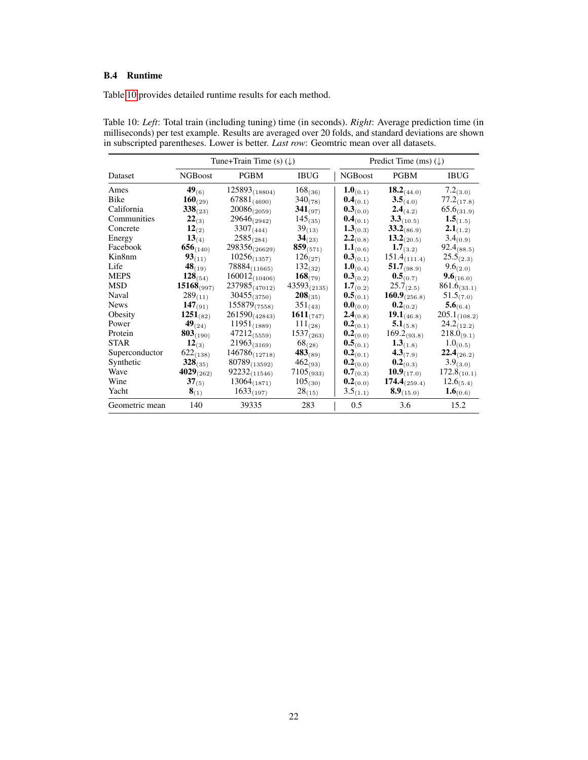# <span id="page-21-0"></span>B.4 Runtime

Table [10](#page-21-1) provides detailed runtime results for each method.

<span id="page-21-1"></span>Table 10: *Left*: Total train (including tuning) time (in seconds). *Right*: Average prediction time (in milliseconds) per test example. Results are averaged over 20 folds, and standard deviations are shown in subscripted parentheses. Lower is better. *Last row*: Geomtric mean over all datasets.

|                |                 | Tune+Train Time (s) $(\downarrow)$ |                  |                | Predict Time (ms) $(\downarrow)$ |                      |
|----------------|-----------------|------------------------------------|------------------|----------------|----------------------------------|----------------------|
| Dataset        | NGBoost         | <b>PGBM</b>                        | <b>IBUG</b>      | <b>NGBoost</b> | <b>PGBM</b>                      | <b>IBUG</b>          |
| Ames           | $49_{(6)}$      | $125893_{(18804)}$                 | $168_{(36)}$     | $1.0_{(0.1)}$  | $18.2_{(44.0)}$                  | $7.2_{(3.0)}$        |
| Bike           | $160_{(29)}$    | $67881_{(4690)}$                   | $340_{(78)}$     | $0.4_{(0.1)}$  | 3.5(4.0)                         | $77.2_{(17.8)}$      |
| California     | $338_{(23)}$    | $20086_{(2059)}$                   | $341_{(97)}$     | 0.3(0.0)       | $2.4_{(4.2)}$                    | $65.6_{(31.9)}$      |
| Communities    | $22_{(3)}$      | $29646_{(2942)}$                   | $145_{(35)}$     | $0.4_{(0.1)}$  | $3.3_{(10.5)}$                   | $1.5_{(1.5)}$        |
| Concrete       | $12_{(2)}$      | $3307_{(444)}$                     | $39_{(13)}$      | $1.3_{(0.3)}$  | $33.2_{(86.9)}$                  | $2.1_{(1.2)}$        |
| Energy         | $13_{(4)}$      | $2585_{(284)}$                     | $34_{(23)}$      | $2.2_{(0.8)}$  | $13.2_{(20.5)}$                  | $3.4_{(0.9)}$        |
| Facebook       | $656_{(140)}$   | 298356(26629)                      | $859_{(571)}$    | $1.1_{(0.6)}$  | $1.7_{(3.2)}$                    | $92.4_{(88.5)}$      |
| Kin8nm         | $93_{(11)}$     | $10256_{(1357)}$                   | $126_{(27)}$     | 0.3(0.1)       | $151.4_{(111.4)}$                | $25.5_{(2.3)}$       |
| Life           | $48_{(19)}$     | $78884_{(11665)}$                  | $132_{(32)}$     | $1.0_{(0.4)}$  | $51.7_{(98.9)}$                  | $9.6_{(2.0)}$        |
| <b>MEPS</b>    | $128_{(54)}$    | $160012_{(10406)}$                 | $168_{(79)}$     | 0.3(0.2)       | $0.5_{(0.7)}$                    | $9.6_{(16.0)}$       |
| <b>MSD</b>     | $15168_{(997)}$ | $237985_{(47012)}$                 | $43593_{(2135)}$ | $1.7_{(0.2)}$  | $25.7_{(2.5)}$                   | $861.6_{(33.1)}$     |
| Naval          | $289_{(11)}$    | $30455_{(3750)}$                   | $208_{(35)}$     | $0.5_{(0.1)}$  | $160.9_{(256.8)}$                | $51.5_{(7.0)}$       |
| <b>News</b>    | $147_{(91)}$    | $155879_{(7558)}$                  | $351_{(43)}$     | $0.0_{(0.0)}$  | $0.2_{(0.2)}$                    | $5.6_{(6.4)}$        |
| Obesity        | $1251_{(82)}$   | $261590_{(42843)}$                 | $1611_{(747)}$   | $2.4_{(0.8)}$  | $19.1_{(46.8)}$                  | $205.1_{(108.2)}$    |
| Power          | $49_{(24)}$     | $11951_{(1889)}$                   | $111_{(28)}$     | $0.2_{(0.1)}$  | $5.1_{(5.8)}$                    | $24.2_{(12.2)}$      |
| Protein        | $803_{(190)}$   | $47212_{(5559)}$                   | $1537_{(263)}$   | $0.2_{(0.0)}$  | $169.2_{(93.8)}$                 | $218.0_{(9.1)}$      |
| <b>STAR</b>    | $12_{(3)}$      | $21963_{(3169)}$                   | $68_{(28)}$      | $0.5_{(0.1)}$  | $1.3_{(1.8)}$                    | $1.0_{(0.5)}$        |
| Superconductor | $622_{(138)}$   | $146786_{(12718)}$                 | $483_{(89)}$     | $0.2_{(0.1)}$  | $4.3_{(7.9)}$                    | $22.4_{(26.2)}$      |
| Synthetic      | $328_{(35)}$    | $80789_{(13592)}$                  | $462_{(93)}$     | $0.2_{(0.0)}$  | $0.2_{(0.3)}$                    | $3.9_{(3.0)}$        |
| Wave           | $4029_{(262)}$  | $92232_{(11546)}$                  | $7105_{(933)}$   | $0.7_{(0.3)}$  | $10.9_{(17.0)}$                  | $172.8_{(10.1)}$     |
| Wine           | $37_{(5)}$      | $13064_{(1871)}$                   | $105_{(30)}$     | $0.2_{(0.0)}$  | $174.4_{(259.4)}$                | $12.6_{(5.4)}$       |
| Yacht          | $8_{(1)}$       | $1633_{(197)}$                     | $28_{(15)}$      | $3.5_{(1.1)}$  | $8.9_{(15.0)}$                   | 1.6 <sub>(0.6)</sub> |
| Geometric mean | 140             | 39335                              | 283              | 0.5            | 3.6                              | 15.2                 |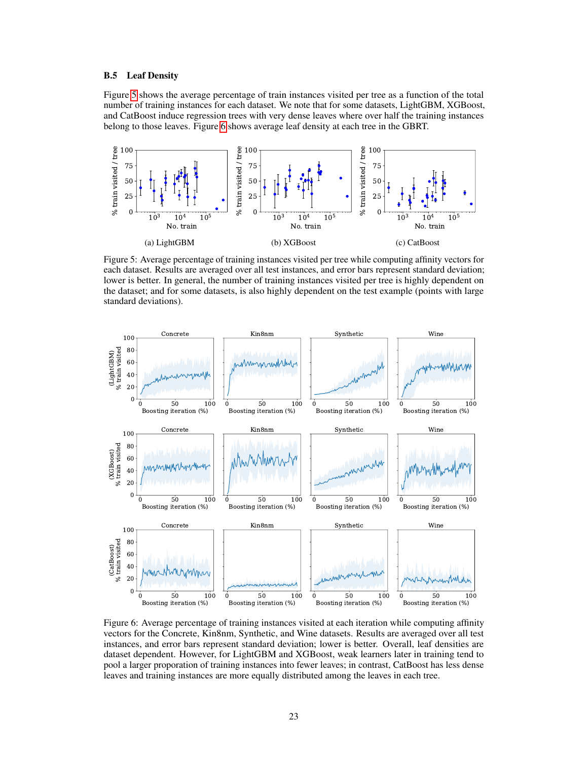### B.5 Leaf Density

Figure [5](#page-22-0) shows the average percentage of train instances visited per tree as a function of the total number of training instances for each dataset. We note that for some datasets, LightGBM, XGBoost, and CatBoost induce regression trees with very dense leaves where over half the training instances belong to those leaves. Figure [6](#page-22-1) shows average leaf density at each tree in the GBRT.

<span id="page-22-0"></span>

Figure 5: Average percentage of training instances visited per tree while computing affinity vectors for each dataset. Results are averaged over all test instances, and error bars represent standard deviation; lower is better. In general, the number of training instances visited per tree is highly dependent on the dataset; and for some datasets, is also highly dependent on the test example (points with large standard deviations).

<span id="page-22-1"></span>

Figure 6: Average percentage of training instances visited at each iteration while computing affinity vectors for the Concrete, Kin8nm, Synthetic, and Wine datasets. Results are averaged over all test instances, and error bars represent standard deviation; lower is better. Overall, leaf densities are dataset dependent. However, for LightGBM and XGBoost, weak learners later in training tend to pool a larger proporation of training instances into fewer leaves; in contrast, CatBoost has less dense leaves and training instances are more equally distributed among the leaves in each tree.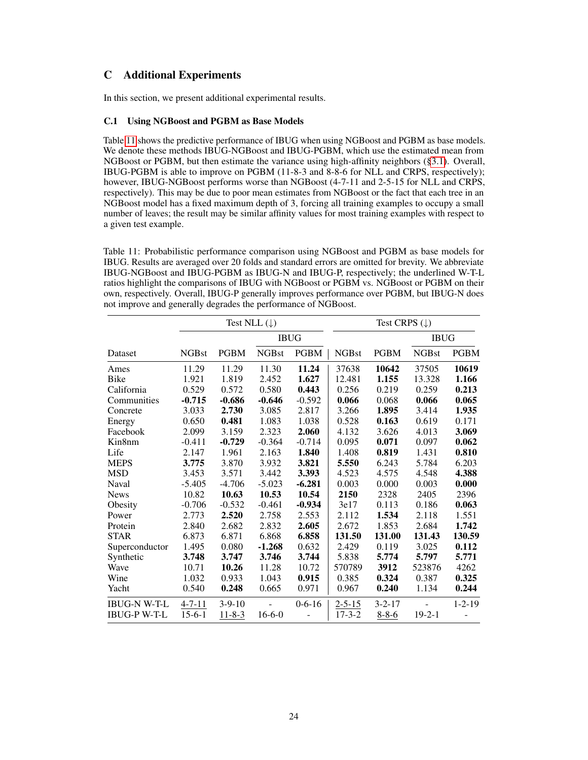# C Additional Experiments

In this section, we present additional experimental results.

### <span id="page-23-0"></span>C.1 Using NGBoost and PGBM as Base Models

Table [11](#page-23-1) shows the predictive performance of IBUG when using NGBoost and PGBM as base models. We denote these methods IBUG-NGBoost and IBUG-PGBM, which use the estimated mean from NGBoost or PGBM, but then estimate the variance using high-affinity neighbors ([§3.1\)](#page-2-1). Overall, IBUG-PGBM is able to improve on PGBM (11-8-3 and 8-8-6 for NLL and CRPS, respectively); however, IBUG-NGBoost performs worse than NGBoost (4-7-11 and 2-5-15 for NLL and CRPS, respectively). This may be due to poor mean estimates from NGBoost or the fact that each tree in an NGBoost model has a fixed maximum depth of 3, forcing all training examples to occupy a small number of leaves; the result may be similar affinity values for most training examples with respect to a given test example.

<span id="page-23-1"></span>Table 11: Probabilistic performance comparison using NGBoost and PGBM as base models for IBUG. Results are averaged over 20 folds and standard errors are omitted for brevity. We abbreviate IBUG-NGBoost and IBUG-PGBM as IBUG-N and IBUG-P, respectively; the underlined W-T-L ratios highlight the comparisons of IBUG with NGBoost or PGBM vs. NGBoost or PGBM on their own, respectively. Overall, IBUG-P generally improves performance over PGBM, but IBUG-N does not improve and generally degrades the performance of NGBoost.

|                     |              |              | Test NLL $(\downarrow)$ |              | Test CRPS $(\downarrow)$ |              |              |              |  |  |
|---------------------|--------------|--------------|-------------------------|--------------|--------------------------|--------------|--------------|--------------|--|--|
|                     |              |              |                         | <b>IBUG</b>  |                          |              | <b>IBUG</b>  |              |  |  |
| Dataset             | <b>NGBst</b> | <b>PGBM</b>  | <b>NGBst</b>            | <b>PGBM</b>  | <b>NGBst</b>             | <b>PGBM</b>  | <b>NGBst</b> | <b>PGBM</b>  |  |  |
| Ames                | 11.29        | 11.29        | 11.30                   | 11.24        | 37638                    | 10642        | 37505        | 10619        |  |  |
| <b>Bike</b>         | 1.921        | 1.819        | 2.452                   | 1.627        | 12.481                   | 1.155        | 13.328       | 1.166        |  |  |
| California          | 0.529        | 0.572        | 0.580                   | 0.443        | 0.256                    | 0.219        | 0.259        | 0.213        |  |  |
| Communities         | $-0.715$     | $-0.686$     | $-0.646$                | $-0.592$     | 0.066                    | 0.068        | 0.066        | 0.065        |  |  |
| Concrete            | 3.033        | 2.730        | 3.085                   | 2.817        | 3.266                    | 1.895        | 3.414        | 1.935        |  |  |
| Energy              | 0.650        | 0.481        | 1.083                   | 1.038        | 0.528                    | 0.163        | 0.619        | 0.171        |  |  |
| Facebook            | 2.099        | 3.159        | 2.323                   | 2.060        | 4.132                    | 3.626        | 4.013        | 3.069        |  |  |
| Kin8nm              | $-0.411$     | $-0.729$     | $-0.364$                | $-0.714$     | 0.095                    | 0.071        | 0.097        | 0.062        |  |  |
| Life                | 2.147        | 1.961        | 2.163                   | 1.840        | 1.408                    | 0.819        | 1.431        | 0.810        |  |  |
| <b>MEPS</b>         | 3.775        | 3.870        | 3.932                   | 3.821        | 5.550                    | 6.243        | 5.784        | 6.203        |  |  |
| <b>MSD</b>          | 3.453        | 3.571        | 3.442                   | 3.393        | 4.523                    | 4.575        | 4.548        | 4.388        |  |  |
| Naval               | $-5.405$     | $-4.706$     | $-5.023$                | $-6.281$     | 0.003                    | 0.000        | 0.003        | 0.000        |  |  |
| <b>News</b>         | 10.82        | 10.63        | 10.53                   | 10.54        | 2150                     | 2328         | 2405         | 2396         |  |  |
| Obesity             | $-0.706$     | $-0.532$     | $-0.461$                | $-0.934$     | 3e17                     | 0.113        | 0.186        | 0.063        |  |  |
| Power               | 2.773        | 2.520        | 2.758                   | 2.553        | 2.112                    | 1.534        | 2.118        | 1.551        |  |  |
| Protein             | 2.840        | 2.682        | 2.832                   | 2.605        | 2.672                    | 1.853        | 2.684        | 1.742        |  |  |
| <b>STAR</b>         | 6.873        | 6.871        | 6.868                   | 6.858        | 131.50                   | 131.00       | 131.43       | 130.59       |  |  |
| Superconductor      | 1.495        | 0.080        | $-1.268$                | 0.632        | 2.429                    | 0.119        | 3.025        | 0.112        |  |  |
| Synthetic           | 3.748        | 3.747        | 3.746                   | 3.744        | 5.838                    | 5.774        | 5.797        | 5.771        |  |  |
| Wave                | 10.71        | 10.26        | 11.28                   | 10.72        | 570789                   | 3912         | 523876       | 4262         |  |  |
| Wine                | 1.032        | 0.933        | 1.043                   | 0.915        | 0.385                    | 0.324        | 0.387        | 0.325        |  |  |
| Yacht               | 0.540        | 0.248        | 0.665                   | 0.971        | 0.967                    | 0.240        | 1.134        | 0.244        |  |  |
| <b>IBUG-N W-T-L</b> | $4 - 7 - 11$ | $3-9-10$     |                         | $0 - 6 - 16$ | $2 - 5 - 15$             | $3 - 2 - 17$ |              | $1 - 2 - 19$ |  |  |
| <b>IBUG-P W-T-L</b> | $15-6-1$     | $11 - 8 - 3$ | $16-6-0$                |              | $17 - 3 - 2$             | $8 - 8 - 6$  | $19 - 2 - 1$ |              |  |  |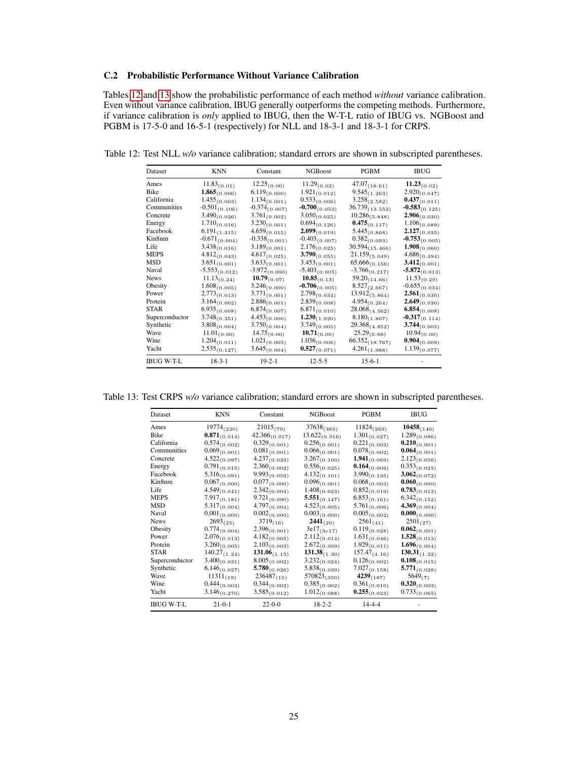# <span id="page-24-0"></span>C.2 Probabilistic Performance Without Variance Calibration

Tables [12](#page-24-1) and [13](#page-24-2) show the probabilistic performance of each method *without* variance calibration. Even without variance calibration, IBUG generally outperforms the competing methods. Furthermore, if variance calibration is *only* applied to IBUG, then the W-T-L ratio of IBUG vs. NGBoost and PGBM is 17-5-0 and 16-5-1 (respectively) for NLL and 18-3-1 and 18-3-1 for CRPS.

| Dataset           | KNN                | Constant          | <b>NGBoost</b>     | PGBM                | <b>IBUG</b>        |
|-------------------|--------------------|-------------------|--------------------|---------------------|--------------------|
| Ames              | $11.83_{(0.01)}$   | $12.25_{(0.00)}$  | $11.29_{(0.02)}$   | $47.07_{(18.61)}$   | $11.23_{(0.02)}$   |
| Bike              | $1.865_{(0.006)}$  | $6.119_{(0.000)}$ | $1.921_{(0.012)}$  | $9.545_{(1.263)}$   | $2.920_{(0.047)}$  |
| California        | $1.455_{(0.003)}$  | $1.134_{(0.001)}$ | $0.533_{(0.006)}$  | $3.258_{(2.582)}$   | $0.437_{(0.011)}$  |
| Communities       | $-0.501_{(0.106)}$ | $-0.374(0.007)$   | $-0.700(0.053)$    | $36.739_{(13.552)}$ | $-0.583(0.125)$    |
| Concrete          | $3.490_{(0.026)}$  | $3.761_{(0.002)}$ | $3.050_{(0.025)}$  | $10.286_{(5.848)}$  | $2.906_{(0.030)}$  |
| Energy            | $1.710_{(0.016)}$  | $3.230_{(0.001)}$ | $0.694_{(0.126)}$  | $0.475_{(0.117)}$   | $1.106_{(0.089)}$  |
| Facebook          | $6.191_{(1.315)}$  | $4.659_{(0.015)}$ | $2.099_{(0.019)}$  | $5.445_{(0.868)}$   | $2.127_{(0.035)}$  |
| Kin8nm            | $-0.671_{(0.004)}$ | $-0.338(0.001)$   | $-0.403(0.007)$    | $0.382_{(0.093)}$   | $-0.753(0.005)$    |
| Life              | $3.438_{(0.016)}$  | $3.189_{(0.001)}$ | $2.176_{(0.025)}$  | $30.594_{(15.466)}$ | $1.908_{(0.060)}$  |
| MEPS              | $4.812_{(0.043)}$  | $4.617_{(0.025)}$ | $3.790_{(0.055)}$  | $21.159_{(5.049)}$  | $4.686_{(0.494)}$  |
| MSD               | $3.651_{(0.001)}$  | $3.633_{(0.001)}$ | $3.453_{(0.001)}$  | $65.666_{(0.156)}$  | $3.412_{(0.001)}$  |
| Naval             | $-5.553_{(0.012)}$ | $-3.972(0.000)$   | $-5.403_{(0.005)}$ | $-3.766_{(0.217)}$  | $-5.872_{(0.013)}$ |
| <b>News</b>       | $11.13_{(0.24)}$   | $10.79_{(0.07)}$  | $10.85_{(0.13)}$   | $59.20_{(14.66)}$   | $11.53_{(0.29)}$   |
| Obesity           | $1.608_{(0.005)}$  | $3.246_{(0.000)}$ | $-0.706_{(0.005)}$ | $8.527_{(2.667)}$   | $-0.655_{(0.034)}$ |
| Power             | $2.773_{(0.013)}$  | $3.771_{(0.001)}$ | $2.798_{(0.034)}$  | $13.912_{(5.864)}$  | $2.561_{(0.030)}$  |
| Protein           | $3.164_{(0.002)}$  | $2.886_{(0.001)}$ | $2.839_{(0.008)}$  | $4.954_{(0.264)}$   | $2.649_{(0.030)}$  |
| <b>STAR</b>       | $6.935_{(0.008)}$  | $6.874_{(0.007)}$ | $6.871_{(0.010)}$  | $28.068_{(4.562)}$  | $6.854_{(0.008)}$  |
| Superconductor    | $3.748_{(0.351)}$  | $4.453_{(0.000)}$ | $1.230_{(1.920)}$  | $8.180_{(1.807)}$   | $-0.317_{(0.114)}$ |
| Synthetic         | $3.808_{(0.004)}$  | $3.750_{(0.004)}$ | $3.749_{(0.005)}$  | $29.368_{(4.852)}$  | $3.744_{(0.005)}$  |
| Wave              | $11.01_{(0.00)}$   | $14.75_{(0.00)}$  | $10.71_{(0.00)}$   | $25.29_{(5.98)}$    | $10.94_{(0.00)}$   |
| Wine              | $1.204_{(0.011)}$  | $1.021_{(0.005)}$ | $1.036_{(0.006)}$  | $66.352_{(18.767)}$ | $0.904_{(0.009)}$  |
| Yacht             | $2.535_{(0.127)}$  | $3.645_{(0.004)}$ | $0.527_{(0.071)}$  | $4.261_{(1.988)}$   | $1.139_{(0.077)}$  |
| <b>IBUG W-T-L</b> | $18-3-1$           | $19 - 2 - 1$      | $12 - 5 - 5$       | $15-6-1$            |                    |

<span id="page-24-1"></span>Table 12: Test NLL *w/o* variance calibration; standard errors are shown in subscripted parentheses.

<span id="page-24-2"></span>Table 13: Test CRPS *w/o* variance calibration; standard errors are shown in subscripted parentheses.

| Dataset           | <b>KNN</b>        | Constant           | <b>NGBoost</b>     | PGBM              | <b>IBUG</b>       |
|-------------------|-------------------|--------------------|--------------------|-------------------|-------------------|
| Ames              | $19774_{(230)}$   | $21015_{(79)}$     | $37638_{(383)}$    | $11824_{(269)}$   | $10458_{(140)}$   |
| Bike              | $0.871_{(0.014)}$ | $42.366_{(0.017)}$ | $13.622_{(0.916)}$ | $1.301_{(0.027)}$ | $1.289_{(0.086)}$ |
| California        | $0.574_{(0.002)}$ | $0.329_{(0.001)}$  | $0.256_{(0.001)}$  | $0.221_{(0.003)}$ | $0.210_{(0.001)}$ |
| Communities       | $0.069_{(0.001)}$ | $0.081_{(0.001)}$  | $0.066_{(0.001)}$  | $0.078_{(0.002)}$ | $0.064_{(0.001)}$ |
| Concrete          | $4.522_{(0.097)}$ | $4.237_{(0.029)}$  | $3.267_{(0.100)}$  | $1.941_{(0.069)}$ | $2.123_{(0.056)}$ |
| Energy            | $0.791_{(0.015)}$ | $2.360_{(0.002)}$  | $0.556_{(0.025)}$  | $0.164_{(0.006)}$ | $0.353_{(0.025)}$ |
| Facebook          | $5.316_{(0.091)}$ | $9.993_{(0.059)}$  | $4.132_{(0.101)}$  | $3.990_{(0.135)}$ | $3.062_{(0.072)}$ |
| Kin8nm            | $0.067_{(0.000)}$ | $0.077_{(0.000)}$  | $0.096_{(0.001)}$  | $0.068_{(0.003)}$ | $0.060_{(0.000)}$ |
| Life              | $4.549_{(0.041)}$ | $2.342_{(0.004)}$  | $1.408_{(0.023)}$  | $0.852_{(0.019)}$ | $0.783_{(0.013)}$ |
| <b>MEPS</b>       | $7.917_{(0.181)}$ | $9.721_{(0.090)}$  | $5.551_{(0.147)}$  | $6.853_{(0.161)}$ | $6.342_{(0.152)}$ |
| <b>MSD</b>        | $5.317_{(0.004)}$ | $4.797_{(0.004)}$  | $4.523_{(0.005)}$  | $5.761_{(0.006)}$ | $4.369_{(0.004)}$ |
| Naval             | $0.001_{(0.000)}$ | $0.002_{(0.000)}$  | $0.003_{(0.000)}$  | $0.005_{(0.002)}$ | $0.000_{(0.000)}$ |
| <b>News</b>       | $2693_{(25)}$     | $3719_{(16)}$      | $2441_{(20)}$      | $2561_{(41)}$     | $2501_{(27)}$     |
| Obesity           | $0.774_{(0.004)}$ | $2.396_{(0.001)}$  | $3e17_{(3e17)}$    | $0.119_{(0.028)}$ | $0.062_{(0.001)}$ |
| Power             | $2.076_{(0.013)}$ | $4.182_{(0.005)}$  | $2.112_{(0.014)}$  | $1.631_{(0.046)}$ | $1.528_{(0.013)}$ |
| Protein           | $3.260_{(0.005)}$ | $2.103_{(0.003)}$  | $2.672_{(0.009)}$  | $1.929_{(0.011)}$ | $1.696_{(0.004)}$ |
| <b>STAR</b>       | $140.27_{(1.24)}$ | $131.06_{(1.15)}$  | $131.38_{(1.30)}$  | $157.47_{(4.16)}$ | $130.31_{(1.22)}$ |
| Superconductor    | $3.400_{(0.031)}$ | $8.005_{(0.002)}$  | $3.232_{(0.024)}$  | $0.126_{(0.002)}$ | $0.108_{(0.015)}$ |
| Synthetic         | $6.146_{(0.027)}$ | $5.780_{(0.026)}$  | $5.838_{(0.039)}$  | $7.027_{(0.158)}$ | $5.771_{(0.028)}$ |
| Wave              | $11311_{(19)}$    | $236487_{(15)}$    | $570823_{(350)}$   | $4239_{(187)}$    | 5649(7)           |
| Wine              | $0.444_{(0.003)}$ | $0.344_{(0.003)}$  | $0.385_{(0.002)}$  | $0.361_{(0.010)}$ | $0.320_{(0.003)}$ |
| Yacht             | $3.146_{(0.270)}$ | $3.585_{(0.012)}$  | $1.012_{(0.088)}$  | $0.255_{(0.023)}$ | $0.733_{(0.065)}$ |
| <b>IBUG W-T-L</b> | $21 - 0 - 1$      | $22 - 0 - 0$       | $18 - 2 - 2$       | $14 - 4 - 4$      |                   |